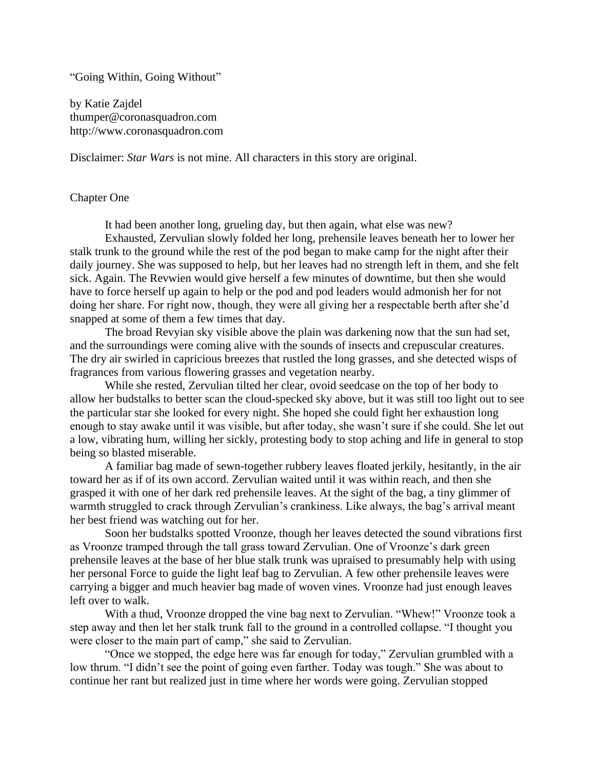"Going Within, Going Without"

by Katie Zajdel thumper@coronasquadron.com http://www.coronasquadron.com

Disclaimer: *Star Wars* is not mine. All characters in this story are original.

### Chapter One

It had been another long, grueling day, but then again, what else was new?

Exhausted, Zervulian slowly folded her long, prehensile leaves beneath her to lower her stalk trunk to the ground while the rest of the pod began to make camp for the night after their daily journey. She was supposed to help, but her leaves had no strength left in them, and she felt sick. Again. The Revwien would give herself a few minutes of downtime, but then she would have to force herself up again to help or the pod and pod leaders would admonish her for not doing her share. For right now, though, they were all giving her a respectable berth after she'd snapped at some of them a few times that day.

The broad Revyian sky visible above the plain was darkening now that the sun had set, and the surroundings were coming alive with the sounds of insects and crepuscular creatures. The dry air swirled in capricious breezes that rustled the long grasses, and she detected wisps of fragrances from various flowering grasses and vegetation nearby.

While she rested, Zervulian tilted her clear, ovoid seedcase on the top of her body to allow her budstalks to better scan the cloud-specked sky above, but it was still too light out to see the particular star she looked for every night. She hoped she could fight her exhaustion long enough to stay awake until it was visible, but after today, she wasn't sure if she could. She let out a low, vibrating hum, willing her sickly, protesting body to stop aching and life in general to stop being so blasted miserable.

A familiar bag made of sewn-together rubbery leaves floated jerkily, hesitantly, in the air toward her as if of its own accord. Zervulian waited until it was within reach, and then she grasped it with one of her dark red prehensile leaves. At the sight of the bag, a tiny glimmer of warmth struggled to crack through Zervulian's crankiness. Like always, the bag's arrival meant her best friend was watching out for her.

Soon her budstalks spotted Vroonze, though her leaves detected the sound vibrations first as Vroonze tramped through the tall grass toward Zervulian. One of Vroonze's dark green prehensile leaves at the base of her blue stalk trunk was upraised to presumably help with using her personal Force to guide the light leaf bag to Zervulian. A few other prehensile leaves were carrying a bigger and much heavier bag made of woven vines. Vroonze had just enough leaves left over to walk.

With a thud, Vroonze dropped the vine bag next to Zervulian. "Whew!" Vroonze took a step away and then let her stalk trunk fall to the ground in a controlled collapse. "I thought you were closer to the main part of camp," she said to Zervulian.

"Once we stopped, the edge here was far enough for today," Zervulian grumbled with a low thrum. "I didn't see the point of going even farther. Today was tough." She was about to continue her rant but realized just in time where her words were going. Zervulian stopped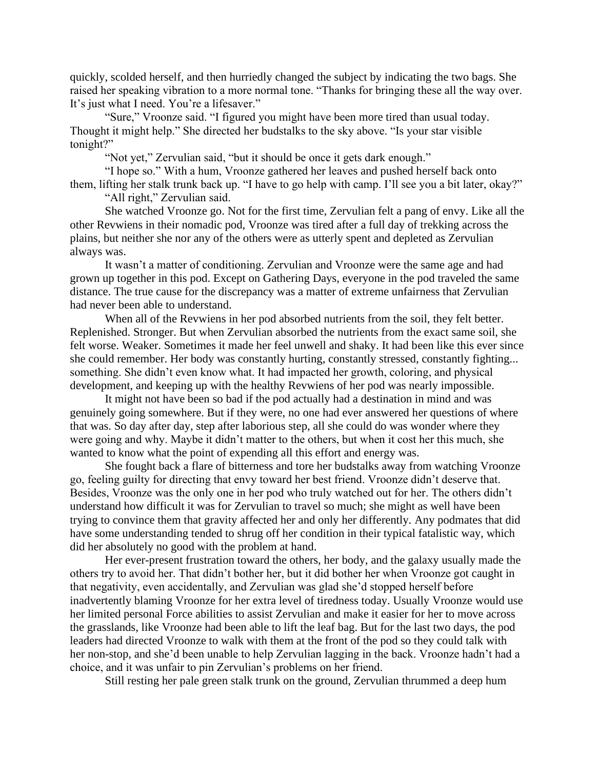quickly, scolded herself, and then hurriedly changed the subject by indicating the two bags. She raised her speaking vibration to a more normal tone. "Thanks for bringing these all the way over. It's just what I need. You're a lifesaver."

"Sure," Vroonze said. "I figured you might have been more tired than usual today. Thought it might help." She directed her budstalks to the sky above. "Is your star visible tonight?"

"Not yet," Zervulian said, "but it should be once it gets dark enough."

"I hope so." With a hum, Vroonze gathered her leaves and pushed herself back onto them, lifting her stalk trunk back up. "I have to go help with camp. I'll see you a bit later, okay?"

"All right," Zervulian said.

She watched Vroonze go. Not for the first time, Zervulian felt a pang of envy. Like all the other Revwiens in their nomadic pod, Vroonze was tired after a full day of trekking across the plains, but neither she nor any of the others were as utterly spent and depleted as Zervulian always was.

It wasn't a matter of conditioning. Zervulian and Vroonze were the same age and had grown up together in this pod. Except on Gathering Days, everyone in the pod traveled the same distance. The true cause for the discrepancy was a matter of extreme unfairness that Zervulian had never been able to understand.

When all of the Revwiens in her pod absorbed nutrients from the soil, they felt better. Replenished. Stronger. But when Zervulian absorbed the nutrients from the exact same soil, she felt worse. Weaker. Sometimes it made her feel unwell and shaky. It had been like this ever since she could remember. Her body was constantly hurting, constantly stressed, constantly fighting... something. She didn't even know what. It had impacted her growth, coloring, and physical development, and keeping up with the healthy Revwiens of her pod was nearly impossible.

It might not have been so bad if the pod actually had a destination in mind and was genuinely going somewhere. But if they were, no one had ever answered her questions of where that was. So day after day, step after laborious step, all she could do was wonder where they were going and why. Maybe it didn't matter to the others, but when it cost her this much, she wanted to know what the point of expending all this effort and energy was.

She fought back a flare of bitterness and tore her budstalks away from watching Vroonze go, feeling guilty for directing that envy toward her best friend. Vroonze didn't deserve that. Besides, Vroonze was the only one in her pod who truly watched out for her. The others didn't understand how difficult it was for Zervulian to travel so much; she might as well have been trying to convince them that gravity affected her and only her differently. Any podmates that did have some understanding tended to shrug off her condition in their typical fatalistic way, which did her absolutely no good with the problem at hand.

Her ever-present frustration toward the others, her body, and the galaxy usually made the others try to avoid her. That didn't bother her, but it did bother her when Vroonze got caught in that negativity, even accidentally, and Zervulian was glad she'd stopped herself before inadvertently blaming Vroonze for her extra level of tiredness today. Usually Vroonze would use her limited personal Force abilities to assist Zervulian and make it easier for her to move across the grasslands, like Vroonze had been able to lift the leaf bag. But for the last two days, the pod leaders had directed Vroonze to walk with them at the front of the pod so they could talk with her non-stop, and she'd been unable to help Zervulian lagging in the back. Vroonze hadn't had a choice, and it was unfair to pin Zervulian's problems on her friend.

Still resting her pale green stalk trunk on the ground, Zervulian thrummed a deep hum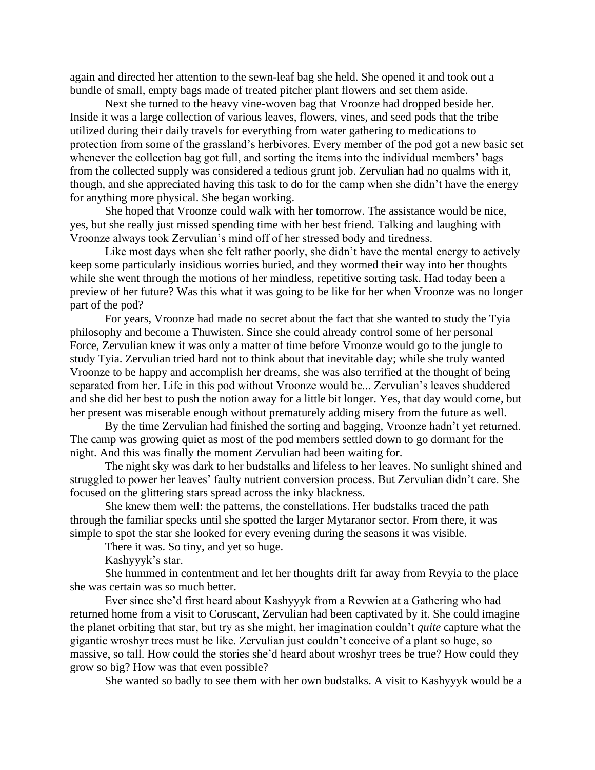again and directed her attention to the sewn-leaf bag she held. She opened it and took out a bundle of small, empty bags made of treated pitcher plant flowers and set them aside.

Next she turned to the heavy vine-woven bag that Vroonze had dropped beside her. Inside it was a large collection of various leaves, flowers, vines, and seed pods that the tribe utilized during their daily travels for everything from water gathering to medications to protection from some of the grassland's herbivores. Every member of the pod got a new basic set whenever the collection bag got full, and sorting the items into the individual members' bags from the collected supply was considered a tedious grunt job. Zervulian had no qualms with it, though, and she appreciated having this task to do for the camp when she didn't have the energy for anything more physical. She began working.

She hoped that Vroonze could walk with her tomorrow. The assistance would be nice, yes, but she really just missed spending time with her best friend. Talking and laughing with Vroonze always took Zervulian's mind off of her stressed body and tiredness.

Like most days when she felt rather poorly, she didn't have the mental energy to actively keep some particularly insidious worries buried, and they wormed their way into her thoughts while she went through the motions of her mindless, repetitive sorting task. Had today been a preview of her future? Was this what it was going to be like for her when Vroonze was no longer part of the pod?

For years, Vroonze had made no secret about the fact that she wanted to study the Tyia philosophy and become a Thuwisten. Since she could already control some of her personal Force, Zervulian knew it was only a matter of time before Vroonze would go to the jungle to study Tyia. Zervulian tried hard not to think about that inevitable day; while she truly wanted Vroonze to be happy and accomplish her dreams, she was also terrified at the thought of being separated from her. Life in this pod without Vroonze would be... Zervulian's leaves shuddered and she did her best to push the notion away for a little bit longer. Yes, that day would come, but her present was miserable enough without prematurely adding misery from the future as well.

By the time Zervulian had finished the sorting and bagging, Vroonze hadn't yet returned. The camp was growing quiet as most of the pod members settled down to go dormant for the night. And this was finally the moment Zervulian had been waiting for.

The night sky was dark to her budstalks and lifeless to her leaves. No sunlight shined and struggled to power her leaves' faulty nutrient conversion process. But Zervulian didn't care. She focused on the glittering stars spread across the inky blackness.

She knew them well: the patterns, the constellations. Her budstalks traced the path through the familiar specks until she spotted the larger Mytaranor sector. From there, it was simple to spot the star she looked for every evening during the seasons it was visible.

There it was. So tiny, and yet so huge.

Kashyyyk's star.

She hummed in contentment and let her thoughts drift far away from Revyia to the place she was certain was so much better.

Ever since she'd first heard about Kashyyyk from a Revwien at a Gathering who had returned home from a visit to Coruscant, Zervulian had been captivated by it. She could imagine the planet orbiting that star, but try as she might, her imagination couldn't *quite* capture what the gigantic wroshyr trees must be like. Zervulian just couldn't conceive of a plant so huge, so massive, so tall. How could the stories she'd heard about wroshyr trees be true? How could they grow so big? How was that even possible?

She wanted so badly to see them with her own budstalks. A visit to Kashyyyk would be a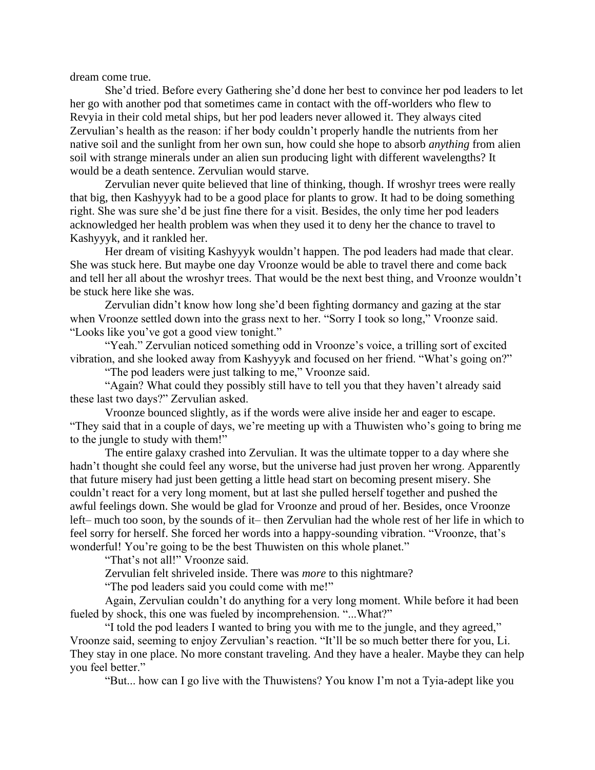dream come true.

She'd tried. Before every Gathering she'd done her best to convince her pod leaders to let her go with another pod that sometimes came in contact with the off-worlders who flew to Revyia in their cold metal ships, but her pod leaders never allowed it. They always cited Zervulian's health as the reason: if her body couldn't properly handle the nutrients from her native soil and the sunlight from her own sun, how could she hope to absorb *anything* from alien soil with strange minerals under an alien sun producing light with different wavelengths? It would be a death sentence. Zervulian would starve.

Zervulian never quite believed that line of thinking, though. If wroshyr trees were really that big, then Kashyyyk had to be a good place for plants to grow. It had to be doing something right. She was sure she'd be just fine there for a visit. Besides, the only time her pod leaders acknowledged her health problem was when they used it to deny her the chance to travel to Kashyyyk, and it rankled her.

Her dream of visiting Kashyyyk wouldn't happen. The pod leaders had made that clear. She was stuck here. But maybe one day Vroonze would be able to travel there and come back and tell her all about the wroshyr trees. That would be the next best thing, and Vroonze wouldn't be stuck here like she was.

Zervulian didn't know how long she'd been fighting dormancy and gazing at the star when Vroonze settled down into the grass next to her. "Sorry I took so long," Vroonze said. "Looks like you've got a good view tonight."

"Yeah." Zervulian noticed something odd in Vroonze's voice, a trilling sort of excited vibration, and she looked away from Kashyyyk and focused on her friend. "What's going on?"

"The pod leaders were just talking to me," Vroonze said.

"Again? What could they possibly still have to tell you that they haven't already said these last two days?" Zervulian asked.

Vroonze bounced slightly, as if the words were alive inside her and eager to escape. "They said that in a couple of days, we're meeting up with a Thuwisten who's going to bring me to the jungle to study with them!"

The entire galaxy crashed into Zervulian. It was the ultimate topper to a day where she hadn't thought she could feel any worse, but the universe had just proven her wrong. Apparently that future misery had just been getting a little head start on becoming present misery. She couldn't react for a very long moment, but at last she pulled herself together and pushed the awful feelings down. She would be glad for Vroonze and proud of her. Besides, once Vroonze left– much too soon, by the sounds of it– then Zervulian had the whole rest of her life in which to feel sorry for herself. She forced her words into a happy-sounding vibration. "Vroonze, that's wonderful! You're going to be the best Thuwisten on this whole planet."

"That's not all!" Vroonze said.

Zervulian felt shriveled inside. There was *more* to this nightmare?

"The pod leaders said you could come with me!"

Again, Zervulian couldn't do anything for a very long moment. While before it had been fueled by shock, this one was fueled by incomprehension. "...What?"

"I told the pod leaders I wanted to bring you with me to the jungle, and they agreed," Vroonze said, seeming to enjoy Zervulian's reaction. "It'll be so much better there for you, Li. They stay in one place. No more constant traveling. And they have a healer. Maybe they can help you feel better."

"But... how can I go live with the Thuwistens? You know I'm not a Tyia-adept like you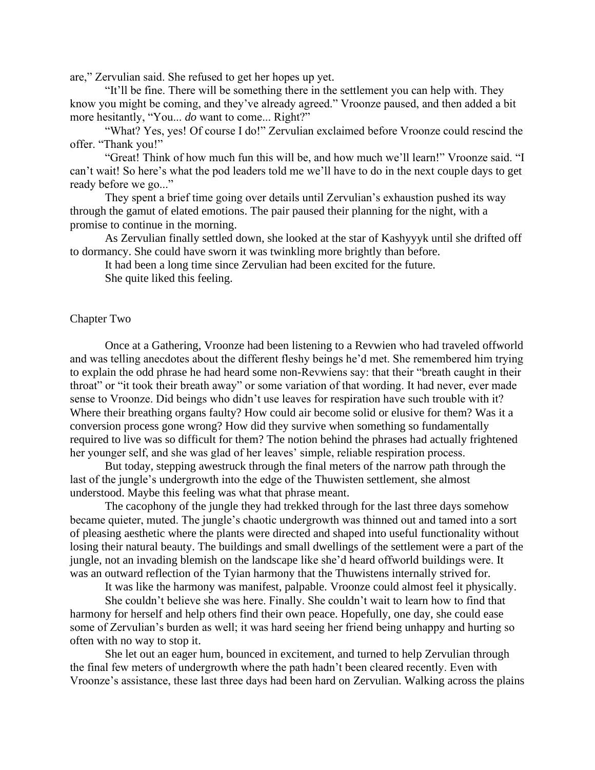are," Zervulian said. She refused to get her hopes up yet.

"It'll be fine. There will be something there in the settlement you can help with. They know you might be coming, and they've already agreed." Vroonze paused, and then added a bit more hesitantly, "You... *do* want to come... Right?"

"What? Yes, yes! Of course I do!" Zervulian exclaimed before Vroonze could rescind the offer. "Thank you!"

"Great! Think of how much fun this will be, and how much we'll learn!" Vroonze said. "I can't wait! So here's what the pod leaders told me we'll have to do in the next couple days to get ready before we go..."

They spent a brief time going over details until Zervulian's exhaustion pushed its way through the gamut of elated emotions. The pair paused their planning for the night, with a promise to continue in the morning.

As Zervulian finally settled down, she looked at the star of Kashyyyk until she drifted off to dormancy. She could have sworn it was twinkling more brightly than before.

It had been a long time since Zervulian had been excited for the future. She quite liked this feeling.

## Chapter Two

Once at a Gathering, Vroonze had been listening to a Revwien who had traveled offworld and was telling anecdotes about the different fleshy beings he'd met. She remembered him trying to explain the odd phrase he had heard some non-Revwiens say: that their "breath caught in their throat" or "it took their breath away" or some variation of that wording. It had never, ever made sense to Vroonze. Did beings who didn't use leaves for respiration have such trouble with it? Where their breathing organs faulty? How could air become solid or elusive for them? Was it a conversion process gone wrong? How did they survive when something so fundamentally required to live was so difficult for them? The notion behind the phrases had actually frightened her younger self, and she was glad of her leaves' simple, reliable respiration process.

But today, stepping awestruck through the final meters of the narrow path through the last of the jungle's undergrowth into the edge of the Thuwisten settlement, she almost understood. Maybe this feeling was what that phrase meant.

The cacophony of the jungle they had trekked through for the last three days somehow became quieter, muted. The jungle's chaotic undergrowth was thinned out and tamed into a sort of pleasing aesthetic where the plants were directed and shaped into useful functionality without losing their natural beauty. The buildings and small dwellings of the settlement were a part of the jungle, not an invading blemish on the landscape like she'd heard offworld buildings were. It was an outward reflection of the Tyian harmony that the Thuwistens internally strived for.

It was like the harmony was manifest, palpable. Vroonze could almost feel it physically.

She couldn't believe she was here. Finally. She couldn't wait to learn how to find that harmony for herself and help others find their own peace. Hopefully, one day, she could ease some of Zervulian's burden as well; it was hard seeing her friend being unhappy and hurting so often with no way to stop it.

She let out an eager hum, bounced in excitement, and turned to help Zervulian through the final few meters of undergrowth where the path hadn't been cleared recently. Even with Vroonze's assistance, these last three days had been hard on Zervulian. Walking across the plains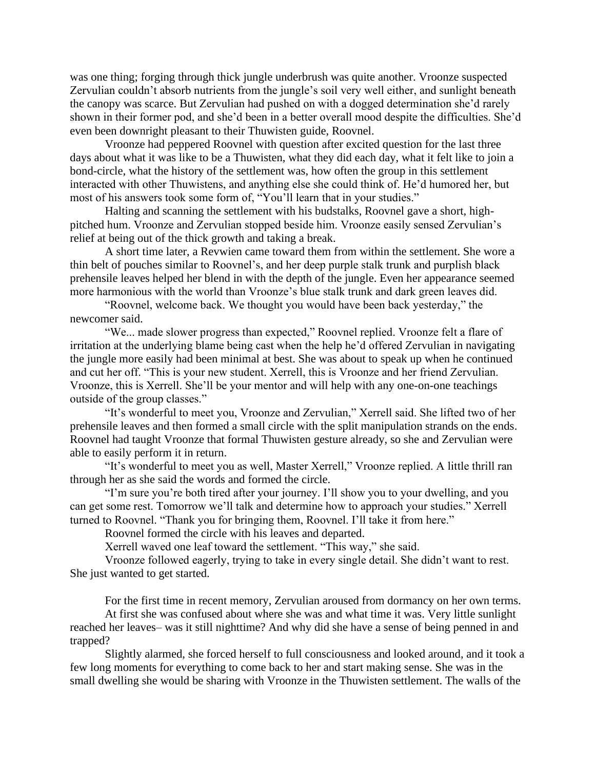was one thing; forging through thick jungle underbrush was quite another. Vroonze suspected Zervulian couldn't absorb nutrients from the jungle's soil very well either, and sunlight beneath the canopy was scarce. But Zervulian had pushed on with a dogged determination she'd rarely shown in their former pod, and she'd been in a better overall mood despite the difficulties. She'd even been downright pleasant to their Thuwisten guide, Roovnel.

Vroonze had peppered Roovnel with question after excited question for the last three days about what it was like to be a Thuwisten, what they did each day, what it felt like to join a bond-circle, what the history of the settlement was, how often the group in this settlement interacted with other Thuwistens, and anything else she could think of. He'd humored her, but most of his answers took some form of, "You'll learn that in your studies."

Halting and scanning the settlement with his budstalks, Roovnel gave a short, highpitched hum. Vroonze and Zervulian stopped beside him. Vroonze easily sensed Zervulian's relief at being out of the thick growth and taking a break.

A short time later, a Revwien came toward them from within the settlement. She wore a thin belt of pouches similar to Roovnel's, and her deep purple stalk trunk and purplish black prehensile leaves helped her blend in with the depth of the jungle. Even her appearance seemed more harmonious with the world than Vroonze's blue stalk trunk and dark green leaves did.

"Roovnel, welcome back. We thought you would have been back yesterday," the newcomer said.

"We... made slower progress than expected," Roovnel replied. Vroonze felt a flare of irritation at the underlying blame being cast when the help he'd offered Zervulian in navigating the jungle more easily had been minimal at best. She was about to speak up when he continued and cut her off. "This is your new student. Xerrell, this is Vroonze and her friend Zervulian. Vroonze, this is Xerrell. She'll be your mentor and will help with any one-on-one teachings outside of the group classes."

"It's wonderful to meet you, Vroonze and Zervulian," Xerrell said. She lifted two of her prehensile leaves and then formed a small circle with the split manipulation strands on the ends. Roovnel had taught Vroonze that formal Thuwisten gesture already, so she and Zervulian were able to easily perform it in return.

"It's wonderful to meet you as well, Master Xerrell," Vroonze replied. A little thrill ran through her as she said the words and formed the circle.

"I'm sure you're both tired after your journey. I'll show you to your dwelling, and you can get some rest. Tomorrow we'll talk and determine how to approach your studies." Xerrell turned to Roovnel. "Thank you for bringing them, Roovnel. I'll take it from here."

Roovnel formed the circle with his leaves and departed.

Xerrell waved one leaf toward the settlement. "This way," she said.

Vroonze followed eagerly, trying to take in every single detail. She didn't want to rest. She just wanted to get started.

For the first time in recent memory, Zervulian aroused from dormancy on her own terms.

At first she was confused about where she was and what time it was. Very little sunlight reached her leaves– was it still nighttime? And why did she have a sense of being penned in and trapped?

Slightly alarmed, she forced herself to full consciousness and looked around, and it took a few long moments for everything to come back to her and start making sense. She was in the small dwelling she would be sharing with Vroonze in the Thuwisten settlement. The walls of the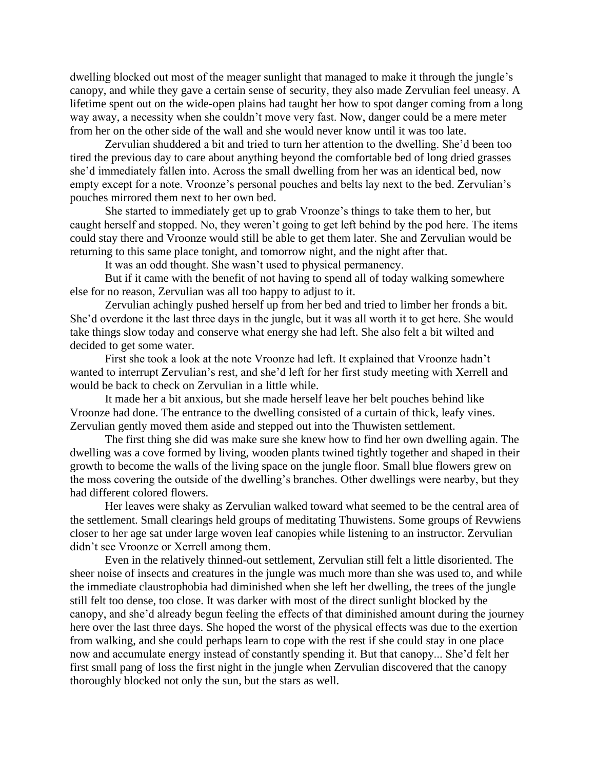dwelling blocked out most of the meager sunlight that managed to make it through the jungle's canopy, and while they gave a certain sense of security, they also made Zervulian feel uneasy. A lifetime spent out on the wide-open plains had taught her how to spot danger coming from a long way away, a necessity when she couldn't move very fast. Now, danger could be a mere meter from her on the other side of the wall and she would never know until it was too late.

Zervulian shuddered a bit and tried to turn her attention to the dwelling. She'd been too tired the previous day to care about anything beyond the comfortable bed of long dried grasses she'd immediately fallen into. Across the small dwelling from her was an identical bed, now empty except for a note. Vroonze's personal pouches and belts lay next to the bed. Zervulian's pouches mirrored them next to her own bed.

She started to immediately get up to grab Vroonze's things to take them to her, but caught herself and stopped. No, they weren't going to get left behind by the pod here. The items could stay there and Vroonze would still be able to get them later. She and Zervulian would be returning to this same place tonight, and tomorrow night, and the night after that.

It was an odd thought. She wasn't used to physical permanency.

But if it came with the benefit of not having to spend all of today walking somewhere else for no reason, Zervulian was all too happy to adjust to it.

Zervulian achingly pushed herself up from her bed and tried to limber her fronds a bit. She'd overdone it the last three days in the jungle, but it was all worth it to get here. She would take things slow today and conserve what energy she had left. She also felt a bit wilted and decided to get some water.

First she took a look at the note Vroonze had left. It explained that Vroonze hadn't wanted to interrupt Zervulian's rest, and she'd left for her first study meeting with Xerrell and would be back to check on Zervulian in a little while.

It made her a bit anxious, but she made herself leave her belt pouches behind like Vroonze had done. The entrance to the dwelling consisted of a curtain of thick, leafy vines. Zervulian gently moved them aside and stepped out into the Thuwisten settlement.

The first thing she did was make sure she knew how to find her own dwelling again. The dwelling was a cove formed by living, wooden plants twined tightly together and shaped in their growth to become the walls of the living space on the jungle floor. Small blue flowers grew on the moss covering the outside of the dwelling's branches. Other dwellings were nearby, but they had different colored flowers.

Her leaves were shaky as Zervulian walked toward what seemed to be the central area of the settlement. Small clearings held groups of meditating Thuwistens. Some groups of Revwiens closer to her age sat under large woven leaf canopies while listening to an instructor. Zervulian didn't see Vroonze or Xerrell among them.

Even in the relatively thinned-out settlement, Zervulian still felt a little disoriented. The sheer noise of insects and creatures in the jungle was much more than she was used to, and while the immediate claustrophobia had diminished when she left her dwelling, the trees of the jungle still felt too dense, too close. It was darker with most of the direct sunlight blocked by the canopy, and she'd already begun feeling the effects of that diminished amount during the journey here over the last three days. She hoped the worst of the physical effects was due to the exertion from walking, and she could perhaps learn to cope with the rest if she could stay in one place now and accumulate energy instead of constantly spending it. But that canopy... She'd felt her first small pang of loss the first night in the jungle when Zervulian discovered that the canopy thoroughly blocked not only the sun, but the stars as well.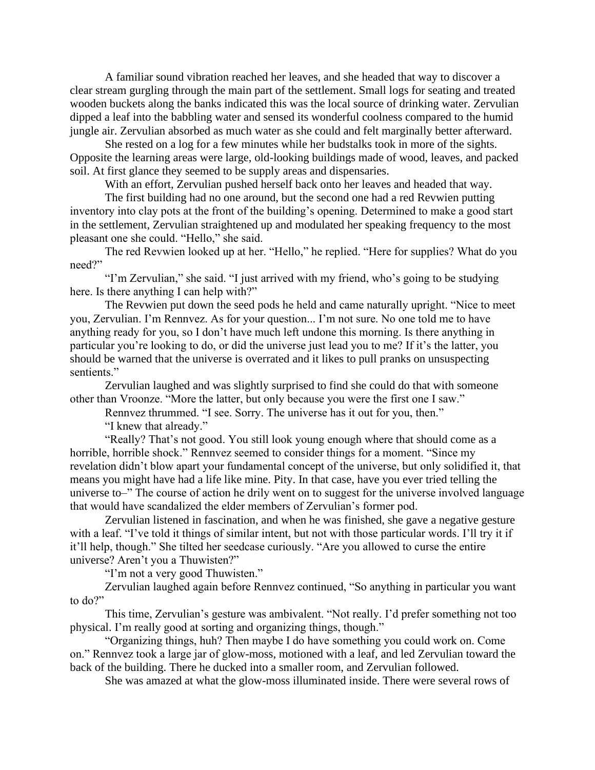A familiar sound vibration reached her leaves, and she headed that way to discover a clear stream gurgling through the main part of the settlement. Small logs for seating and treated wooden buckets along the banks indicated this was the local source of drinking water. Zervulian dipped a leaf into the babbling water and sensed its wonderful coolness compared to the humid jungle air. Zervulian absorbed as much water as she could and felt marginally better afterward.

She rested on a log for a few minutes while her budstalks took in more of the sights. Opposite the learning areas were large, old-looking buildings made of wood, leaves, and packed soil. At first glance they seemed to be supply areas and dispensaries.

With an effort, Zervulian pushed herself back onto her leaves and headed that way.

The first building had no one around, but the second one had a red Revwien putting inventory into clay pots at the front of the building's opening. Determined to make a good start in the settlement, Zervulian straightened up and modulated her speaking frequency to the most pleasant one she could. "Hello," she said.

The red Revwien looked up at her. "Hello," he replied. "Here for supplies? What do you need?"

"I'm Zervulian," she said. "I just arrived with my friend, who's going to be studying here. Is there anything I can help with?"

The Revwien put down the seed pods he held and came naturally upright. "Nice to meet you, Zervulian. I'm Rennvez. As for your question... I'm not sure. No one told me to have anything ready for you, so I don't have much left undone this morning. Is there anything in particular you're looking to do, or did the universe just lead you to me? If it's the latter, you should be warned that the universe is overrated and it likes to pull pranks on unsuspecting sentients."

Zervulian laughed and was slightly surprised to find she could do that with someone other than Vroonze. "More the latter, but only because you were the first one I saw."

Rennvez thrummed. "I see. Sorry. The universe has it out for you, then."

"I knew that already."

"Really? That's not good. You still look young enough where that should come as a horrible, horrible shock." Rennvez seemed to consider things for a moment. "Since my revelation didn't blow apart your fundamental concept of the universe, but only solidified it, that means you might have had a life like mine. Pity. In that case, have you ever tried telling the universe to–" The course of action he drily went on to suggest for the universe involved language that would have scandalized the elder members of Zervulian's former pod.

Zervulian listened in fascination, and when he was finished, she gave a negative gesture with a leaf. "I've told it things of similar intent, but not with those particular words. I'll try it if it'll help, though." She tilted her seedcase curiously. "Are you allowed to curse the entire universe? Aren't you a Thuwisten?"

"I'm not a very good Thuwisten."

Zervulian laughed again before Rennvez continued, "So anything in particular you want to do?"

This time, Zervulian's gesture was ambivalent. "Not really. I'd prefer something not too physical. I'm really good at sorting and organizing things, though."

"Organizing things, huh? Then maybe I do have something you could work on. Come on." Rennvez took a large jar of glow-moss, motioned with a leaf, and led Zervulian toward the back of the building. There he ducked into a smaller room, and Zervulian followed.

She was amazed at what the glow-moss illuminated inside. There were several rows of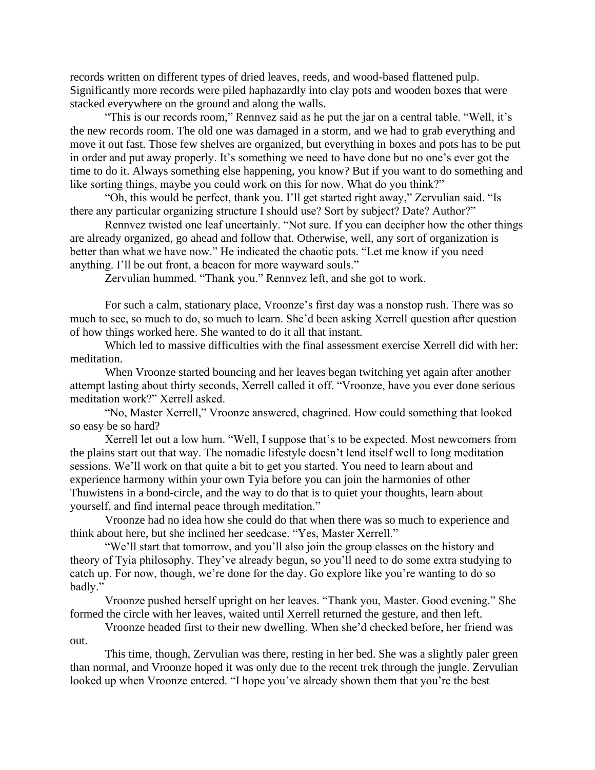records written on different types of dried leaves, reeds, and wood-based flattened pulp. Significantly more records were piled haphazardly into clay pots and wooden boxes that were stacked everywhere on the ground and along the walls.

"This is our records room," Rennvez said as he put the jar on a central table. "Well, it's the new records room. The old one was damaged in a storm, and we had to grab everything and move it out fast. Those few shelves are organized, but everything in boxes and pots has to be put in order and put away properly. It's something we need to have done but no one's ever got the time to do it. Always something else happening, you know? But if you want to do something and like sorting things, maybe you could work on this for now. What do you think?"

"Oh, this would be perfect, thank you. I'll get started right away," Zervulian said. "Is there any particular organizing structure I should use? Sort by subject? Date? Author?"

Rennvez twisted one leaf uncertainly. "Not sure. If you can decipher how the other things are already organized, go ahead and follow that. Otherwise, well, any sort of organization is better than what we have now." He indicated the chaotic pots. "Let me know if you need anything. I'll be out front, a beacon for more wayward souls."

Zervulian hummed. "Thank you." Rennvez left, and she got to work.

For such a calm, stationary place, Vroonze's first day was a nonstop rush. There was so much to see, so much to do, so much to learn. She'd been asking Xerrell question after question of how things worked here. She wanted to do it all that instant.

Which led to massive difficulties with the final assessment exercise Xerrell did with her: meditation.

When Vroonze started bouncing and her leaves began twitching yet again after another attempt lasting about thirty seconds, Xerrell called it off. "Vroonze, have you ever done serious meditation work?" Xerrell asked.

"No, Master Xerrell," Vroonze answered, chagrined. How could something that looked so easy be so hard?

Xerrell let out a low hum. "Well, I suppose that's to be expected. Most newcomers from the plains start out that way. The nomadic lifestyle doesn't lend itself well to long meditation sessions. We'll work on that quite a bit to get you started. You need to learn about and experience harmony within your own Tyia before you can join the harmonies of other Thuwistens in a bond-circle, and the way to do that is to quiet your thoughts, learn about yourself, and find internal peace through meditation."

Vroonze had no idea how she could do that when there was so much to experience and think about here, but she inclined her seedcase. "Yes, Master Xerrell."

"We'll start that tomorrow, and you'll also join the group classes on the history and theory of Tyia philosophy. They've already begun, so you'll need to do some extra studying to catch up. For now, though, we're done for the day. Go explore like you're wanting to do so badly."

Vroonze pushed herself upright on her leaves. "Thank you, Master. Good evening." She formed the circle with her leaves, waited until Xerrell returned the gesture, and then left.

Vroonze headed first to their new dwelling. When she'd checked before, her friend was out.

This time, though, Zervulian was there, resting in her bed. She was a slightly paler green than normal, and Vroonze hoped it was only due to the recent trek through the jungle. Zervulian looked up when Vroonze entered. "I hope you've already shown them that you're the best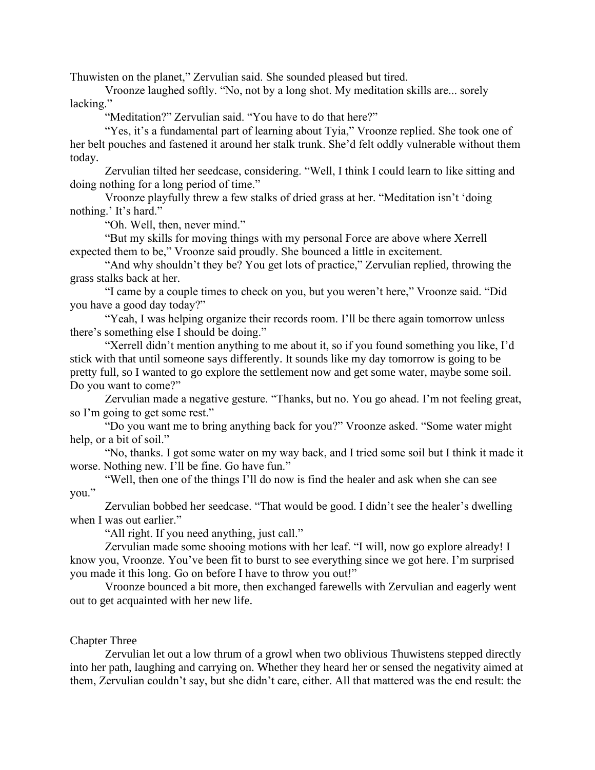Thuwisten on the planet," Zervulian said. She sounded pleased but tired.

Vroonze laughed softly. "No, not by a long shot. My meditation skills are... sorely lacking."

"Meditation?" Zervulian said. "You have to do that here?"

"Yes, it's a fundamental part of learning about Tyia," Vroonze replied. She took one of her belt pouches and fastened it around her stalk trunk. She'd felt oddly vulnerable without them today.

Zervulian tilted her seedcase, considering. "Well, I think I could learn to like sitting and doing nothing for a long period of time."

Vroonze playfully threw a few stalks of dried grass at her. "Meditation isn't 'doing nothing.' It's hard."

"Oh. Well, then, never mind."

"But my skills for moving things with my personal Force are above where Xerrell expected them to be," Vroonze said proudly. She bounced a little in excitement.

"And why shouldn't they be? You get lots of practice," Zervulian replied, throwing the grass stalks back at her.

"I came by a couple times to check on you, but you weren't here," Vroonze said. "Did you have a good day today?"

"Yeah, I was helping organize their records room. I'll be there again tomorrow unless there's something else I should be doing."

"Xerrell didn't mention anything to me about it, so if you found something you like, I'd stick with that until someone says differently. It sounds like my day tomorrow is going to be pretty full, so I wanted to go explore the settlement now and get some water, maybe some soil. Do you want to come?"

Zervulian made a negative gesture. "Thanks, but no. You go ahead. I'm not feeling great, so I'm going to get some rest."

"Do you want me to bring anything back for you?" Vroonze asked. "Some water might help, or a bit of soil."

"No, thanks. I got some water on my way back, and I tried some soil but I think it made it worse. Nothing new. I'll be fine. Go have fun."

"Well, then one of the things I'll do now is find the healer and ask when she can see you."

Zervulian bobbed her seedcase. "That would be good. I didn't see the healer's dwelling when I was out earlier."

"All right. If you need anything, just call."

Zervulian made some shooing motions with her leaf. "I will, now go explore already! I know you, Vroonze. You've been fit to burst to see everything since we got here. I'm surprised you made it this long. Go on before I have to throw you out!"

Vroonze bounced a bit more, then exchanged farewells with Zervulian and eagerly went out to get acquainted with her new life.

# Chapter Three

Zervulian let out a low thrum of a growl when two oblivious Thuwistens stepped directly into her path, laughing and carrying on. Whether they heard her or sensed the negativity aimed at them, Zervulian couldn't say, but she didn't care, either. All that mattered was the end result: the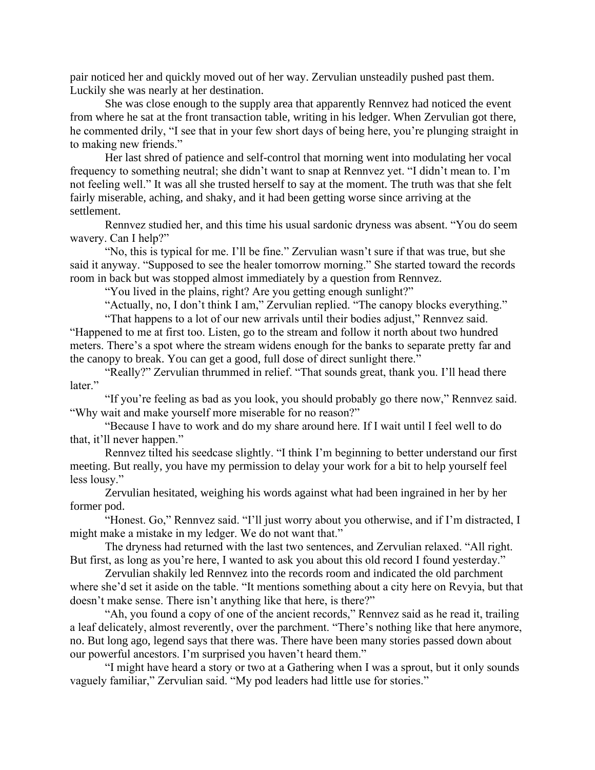pair noticed her and quickly moved out of her way. Zervulian unsteadily pushed past them. Luckily she was nearly at her destination.

She was close enough to the supply area that apparently Rennvez had noticed the event from where he sat at the front transaction table, writing in his ledger. When Zervulian got there, he commented drily, "I see that in your few short days of being here, you're plunging straight in to making new friends."

Her last shred of patience and self-control that morning went into modulating her vocal frequency to something neutral; she didn't want to snap at Rennvez yet. "I didn't mean to. I'm not feeling well." It was all she trusted herself to say at the moment. The truth was that she felt fairly miserable, aching, and shaky, and it had been getting worse since arriving at the settlement.

Rennvez studied her, and this time his usual sardonic dryness was absent. "You do seem wavery. Can I help?"

"No, this is typical for me. I'll be fine." Zervulian wasn't sure if that was true, but she said it anyway. "Supposed to see the healer tomorrow morning." She started toward the records room in back but was stopped almost immediately by a question from Rennvez.

"You lived in the plains, right? Are you getting enough sunlight?"

"Actually, no, I don't think I am," Zervulian replied. "The canopy blocks everything."

"That happens to a lot of our new arrivals until their bodies adjust," Rennvez said. "Happened to me at first too. Listen, go to the stream and follow it north about two hundred meters. There's a spot where the stream widens enough for the banks to separate pretty far and the canopy to break. You can get a good, full dose of direct sunlight there."

"Really?" Zervulian thrummed in relief. "That sounds great, thank you. I'll head there later."

"If you're feeling as bad as you look, you should probably go there now," Rennvez said. "Why wait and make yourself more miserable for no reason?"

"Because I have to work and do my share around here. If I wait until I feel well to do that, it'll never happen."

Rennvez tilted his seedcase slightly. "I think I'm beginning to better understand our first meeting. But really, you have my permission to delay your work for a bit to help yourself feel less lousy."

Zervulian hesitated, weighing his words against what had been ingrained in her by her former pod.

"Honest. Go," Rennvez said. "I'll just worry about you otherwise, and if I'm distracted, I might make a mistake in my ledger. We do not want that."

The dryness had returned with the last two sentences, and Zervulian relaxed. "All right. But first, as long as you're here, I wanted to ask you about this old record I found yesterday."

Zervulian shakily led Rennvez into the records room and indicated the old parchment where she'd set it aside on the table. "It mentions something about a city here on Revyia, but that doesn't make sense. There isn't anything like that here, is there?"

"Ah, you found a copy of one of the ancient records," Rennvez said as he read it, trailing a leaf delicately, almost reverently, over the parchment. "There's nothing like that here anymore, no. But long ago, legend says that there was. There have been many stories passed down about our powerful ancestors. I'm surprised you haven't heard them."

"I might have heard a story or two at a Gathering when I was a sprout, but it only sounds vaguely familiar," Zervulian said. "My pod leaders had little use for stories."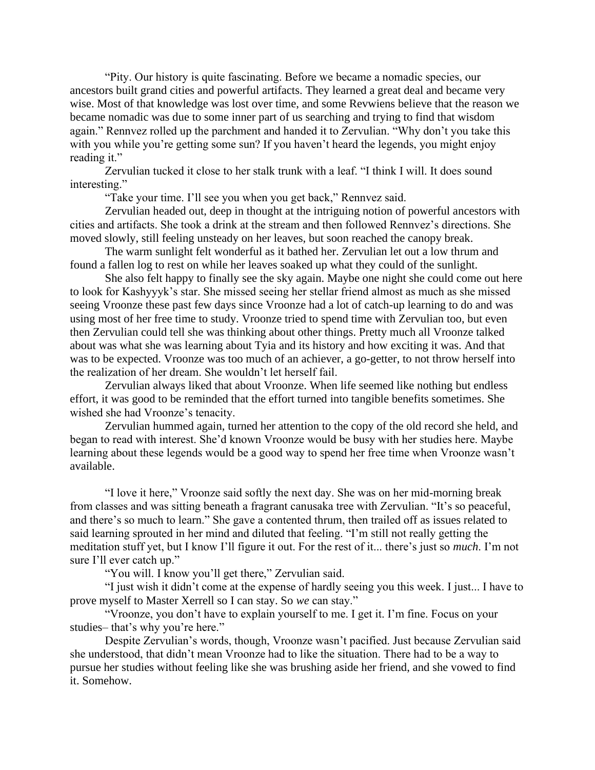"Pity. Our history is quite fascinating. Before we became a nomadic species, our ancestors built grand cities and powerful artifacts. They learned a great deal and became very wise. Most of that knowledge was lost over time, and some Revwiens believe that the reason we became nomadic was due to some inner part of us searching and trying to find that wisdom again." Rennvez rolled up the parchment and handed it to Zervulian. "Why don't you take this with you while you're getting some sun? If you haven't heard the legends, you might enjoy reading it."

Zervulian tucked it close to her stalk trunk with a leaf. "I think I will. It does sound interesting."

"Take your time. I'll see you when you get back," Rennvez said.

Zervulian headed out, deep in thought at the intriguing notion of powerful ancestors with cities and artifacts. She took a drink at the stream and then followed Rennvez's directions. She moved slowly, still feeling unsteady on her leaves, but soon reached the canopy break.

The warm sunlight felt wonderful as it bathed her. Zervulian let out a low thrum and found a fallen log to rest on while her leaves soaked up what they could of the sunlight.

She also felt happy to finally see the sky again. Maybe one night she could come out here to look for Kashyyyk's star. She missed seeing her stellar friend almost as much as she missed seeing Vroonze these past few days since Vroonze had a lot of catch-up learning to do and was using most of her free time to study. Vroonze tried to spend time with Zervulian too, but even then Zervulian could tell she was thinking about other things. Pretty much all Vroonze talked about was what she was learning about Tyia and its history and how exciting it was. And that was to be expected. Vroonze was too much of an achiever, a go-getter, to not throw herself into the realization of her dream. She wouldn't let herself fail.

Zervulian always liked that about Vroonze. When life seemed like nothing but endless effort, it was good to be reminded that the effort turned into tangible benefits sometimes. She wished she had Vroonze's tenacity.

Zervulian hummed again, turned her attention to the copy of the old record she held, and began to read with interest. She'd known Vroonze would be busy with her studies here. Maybe learning about these legends would be a good way to spend her free time when Vroonze wasn't available.

"I love it here," Vroonze said softly the next day. She was on her mid-morning break from classes and was sitting beneath a fragrant canusaka tree with Zervulian. "It's so peaceful, and there's so much to learn." She gave a contented thrum, then trailed off as issues related to said learning sprouted in her mind and diluted that feeling. "I'm still not really getting the meditation stuff yet, but I know I'll figure it out. For the rest of it... there's just so *much*. I'm not sure I'll ever catch up."

"You will. I know you'll get there," Zervulian said.

"I just wish it didn't come at the expense of hardly seeing you this week. I just... I have to prove myself to Master Xerrell so I can stay. So *we* can stay."

"Vroonze, you don't have to explain yourself to me. I get it. I'm fine. Focus on your studies– that's why you're here."

Despite Zervulian's words, though, Vroonze wasn't pacified. Just because Zervulian said she understood, that didn't mean Vroonze had to like the situation. There had to be a way to pursue her studies without feeling like she was brushing aside her friend, and she vowed to find it. Somehow.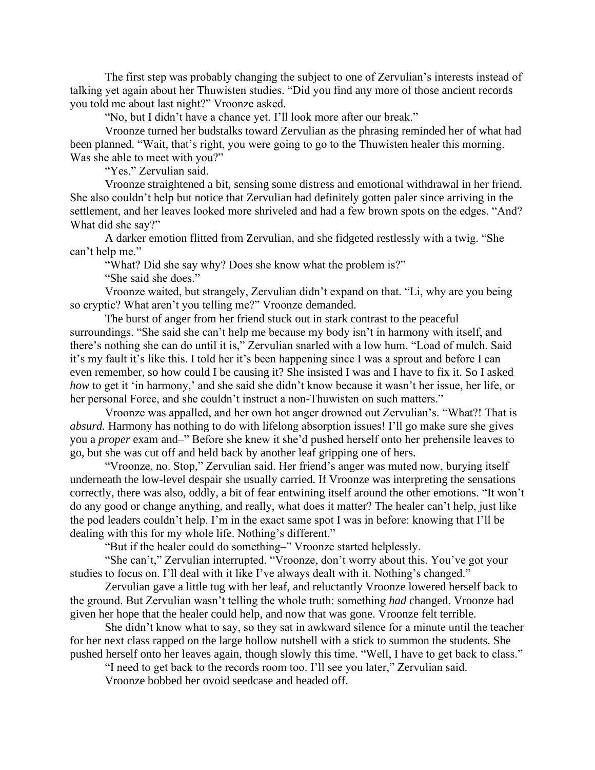The first step was probably changing the subject to one of Zervulian's interests instead of talking yet again about her Thuwisten studies. "Did you find any more of those ancient records you told me about last night?" Vroonze asked.

"No, but I didn't have a chance yet. I'll look more after our break."

Vroonze turned her budstalks toward Zervulian as the phrasing reminded her of what had been planned. "Wait, that's right, you were going to go to the Thuwisten healer this morning. Was she able to meet with you?"

"Yes," Zervulian said.

Vroonze straightened a bit, sensing some distress and emotional withdrawal in her friend. She also couldn't help but notice that Zervulian had definitely gotten paler since arriving in the settlement, and her leaves looked more shriveled and had a few brown spots on the edges. "And? What did she say?"

A darker emotion flitted from Zervulian, and she fidgeted restlessly with a twig. "She can't help me."

"What? Did she say why? Does she know what the problem is?"

"She said she does."

Vroonze waited, but strangely, Zervulian didn't expand on that. "Li, why are you being so cryptic? What aren't you telling me?" Vroonze demanded.

The burst of anger from her friend stuck out in stark contrast to the peaceful surroundings. "She said she can't help me because my body isn't in harmony with itself, and there's nothing she can do until it is," Zervulian snarled with a low hum. "Load of mulch. Said it's my fault it's like this. I told her it's been happening since I was a sprout and before I can even remember, so how could I be causing it? She insisted I was and I have to fix it. So I asked *how* to get it 'in harmony,' and she said she didn't know because it wasn't her issue, her life, or her personal Force, and she couldn't instruct a non-Thuwisten on such matters."

Vroonze was appalled, and her own hot anger drowned out Zervulian's. "What?! That is *absurd.* Harmony has nothing to do with lifelong absorption issues! I'll go make sure she gives you a *proper* exam and–" Before she knew it she'd pushed herself onto her prehensile leaves to go, but she was cut off and held back by another leaf gripping one of hers.

"Vroonze, no. Stop," Zervulian said. Her friend's anger was muted now, burying itself underneath the low-level despair she usually carried. If Vroonze was interpreting the sensations correctly, there was also, oddly, a bit of fear entwining itself around the other emotions. "It won't do any good or change anything, and really, what does it matter? The healer can't help, just like the pod leaders couldn't help. I'm in the exact same spot I was in before: knowing that I'll be dealing with this for my whole life. Nothing's different."

"But if the healer could do something–" Vroonze started helplessly.

"She can't," Zervulian interrupted. "Vroonze, don't worry about this. You've got your studies to focus on. I'll deal with it like I've always dealt with it. Nothing's changed."

Zervulian gave a little tug with her leaf, and reluctantly Vroonze lowered herself back to the ground. But Zervulian wasn't telling the whole truth: something *had* changed. Vroonze had given her hope that the healer could help, and now that was gone. Vroonze felt terrible.

She didn't know what to say, so they sat in awkward silence for a minute until the teacher for her next class rapped on the large hollow nutshell with a stick to summon the students. She pushed herself onto her leaves again, though slowly this time. "Well, I have to get back to class."

"I need to get back to the records room too. I'll see you later," Zervulian said.

Vroonze bobbed her ovoid seedcase and headed off.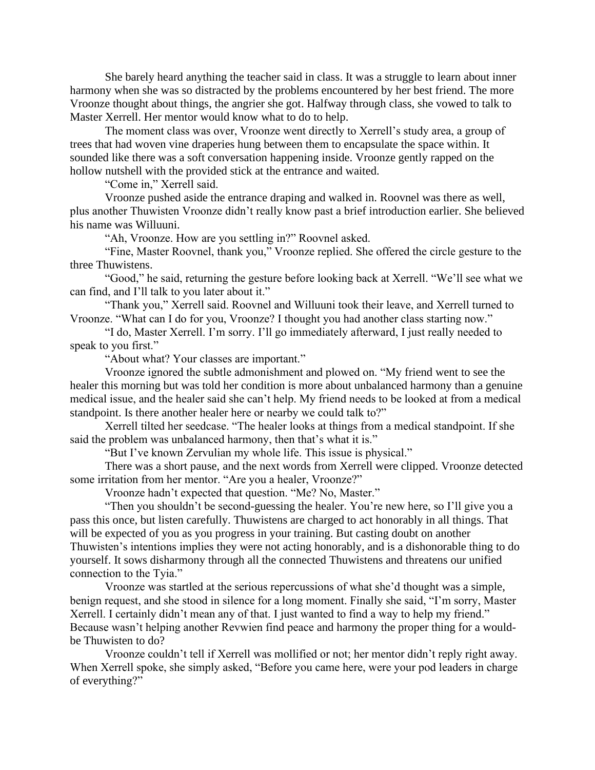She barely heard anything the teacher said in class. It was a struggle to learn about inner harmony when she was so distracted by the problems encountered by her best friend. The more Vroonze thought about things, the angrier she got. Halfway through class, she vowed to talk to Master Xerrell. Her mentor would know what to do to help.

The moment class was over, Vroonze went directly to Xerrell's study area, a group of trees that had woven vine draperies hung between them to encapsulate the space within. It sounded like there was a soft conversation happening inside. Vroonze gently rapped on the hollow nutshell with the provided stick at the entrance and waited.

"Come in," Xerrell said.

Vroonze pushed aside the entrance draping and walked in. Roovnel was there as well, plus another Thuwisten Vroonze didn't really know past a brief introduction earlier. She believed his name was Willuuni.

"Ah, Vroonze. How are you settling in?" Roovnel asked.

"Fine, Master Roovnel, thank you," Vroonze replied. She offered the circle gesture to the three Thuwistens.

"Good," he said, returning the gesture before looking back at Xerrell. "We'll see what we can find, and I'll talk to you later about it."

"Thank you," Xerrell said. Roovnel and Willuuni took their leave, and Xerrell turned to Vroonze. "What can I do for you, Vroonze? I thought you had another class starting now."

"I do, Master Xerrell. I'm sorry. I'll go immediately afterward, I just really needed to speak to you first."

"About what? Your classes are important."

Vroonze ignored the subtle admonishment and plowed on. "My friend went to see the healer this morning but was told her condition is more about unbalanced harmony than a genuine medical issue, and the healer said she can't help. My friend needs to be looked at from a medical standpoint. Is there another healer here or nearby we could talk to?"

Xerrell tilted her seedcase. "The healer looks at things from a medical standpoint. If she said the problem was unbalanced harmony, then that's what it is."

"But I've known Zervulian my whole life. This issue is physical."

There was a short pause, and the next words from Xerrell were clipped. Vroonze detected some irritation from her mentor. "Are you a healer, Vroonze?"

Vroonze hadn't expected that question. "Me? No, Master."

"Then you shouldn't be second-guessing the healer. You're new here, so I'll give you a pass this once, but listen carefully. Thuwistens are charged to act honorably in all things. That will be expected of you as you progress in your training. But casting doubt on another Thuwisten's intentions implies they were not acting honorably, and is a dishonorable thing to do yourself. It sows disharmony through all the connected Thuwistens and threatens our unified connection to the Tyia."

Vroonze was startled at the serious repercussions of what she'd thought was a simple, benign request, and she stood in silence for a long moment. Finally she said, "I'm sorry, Master Xerrell. I certainly didn't mean any of that. I just wanted to find a way to help my friend." Because wasn't helping another Revwien find peace and harmony the proper thing for a wouldbe Thuwisten to do?

Vroonze couldn't tell if Xerrell was mollified or not; her mentor didn't reply right away. When Xerrell spoke, she simply asked, "Before you came here, were your pod leaders in charge of everything?"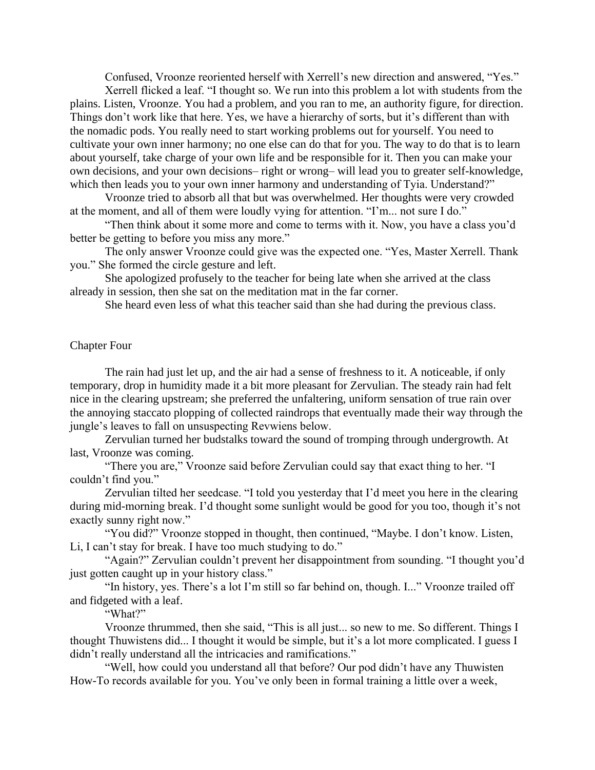Confused, Vroonze reoriented herself with Xerrell's new direction and answered, "Yes."

Xerrell flicked a leaf. "I thought so. We run into this problem a lot with students from the plains. Listen, Vroonze. You had a problem, and you ran to me, an authority figure, for direction. Things don't work like that here. Yes, we have a hierarchy of sorts, but it's different than with the nomadic pods. You really need to start working problems out for yourself. You need to cultivate your own inner harmony; no one else can do that for you. The way to do that is to learn about yourself, take charge of your own life and be responsible for it. Then you can make your own decisions, and your own decisions– right or wrong– will lead you to greater self-knowledge, which then leads you to your own inner harmony and understanding of Tyia. Understand?"

Vroonze tried to absorb all that but was overwhelmed. Her thoughts were very crowded at the moment, and all of them were loudly vying for attention. "I'm... not sure I do."

"Then think about it some more and come to terms with it. Now, you have a class you'd better be getting to before you miss any more."

The only answer Vroonze could give was the expected one. "Yes, Master Xerrell. Thank you." She formed the circle gesture and left.

She apologized profusely to the teacher for being late when she arrived at the class already in session, then she sat on the meditation mat in the far corner.

She heard even less of what this teacher said than she had during the previous class.

## Chapter Four

The rain had just let up, and the air had a sense of freshness to it. A noticeable, if only temporary, drop in humidity made it a bit more pleasant for Zervulian. The steady rain had felt nice in the clearing upstream; she preferred the unfaltering, uniform sensation of true rain over the annoying staccato plopping of collected raindrops that eventually made their way through the jungle's leaves to fall on unsuspecting Revwiens below.

Zervulian turned her budstalks toward the sound of tromping through undergrowth. At last, Vroonze was coming.

"There you are," Vroonze said before Zervulian could say that exact thing to her. "I couldn't find you."

Zervulian tilted her seedcase. "I told you yesterday that I'd meet you here in the clearing during mid-morning break. I'd thought some sunlight would be good for you too, though it's not exactly sunny right now."

"You did?" Vroonze stopped in thought, then continued, "Maybe. I don't know. Listen, Li, I can't stay for break. I have too much studying to do."

"Again?" Zervulian couldn't prevent her disappointment from sounding. "I thought you'd just gotten caught up in your history class."

"In history, yes. There's a lot I'm still so far behind on, though. I..." Vroonze trailed off and fidgeted with a leaf.

"What?"

Vroonze thrummed, then she said, "This is all just... so new to me. So different. Things I thought Thuwistens did... I thought it would be simple, but it's a lot more complicated. I guess I didn't really understand all the intricacies and ramifications."

"Well, how could you understand all that before? Our pod didn't have any Thuwisten How-To records available for you. You've only been in formal training a little over a week,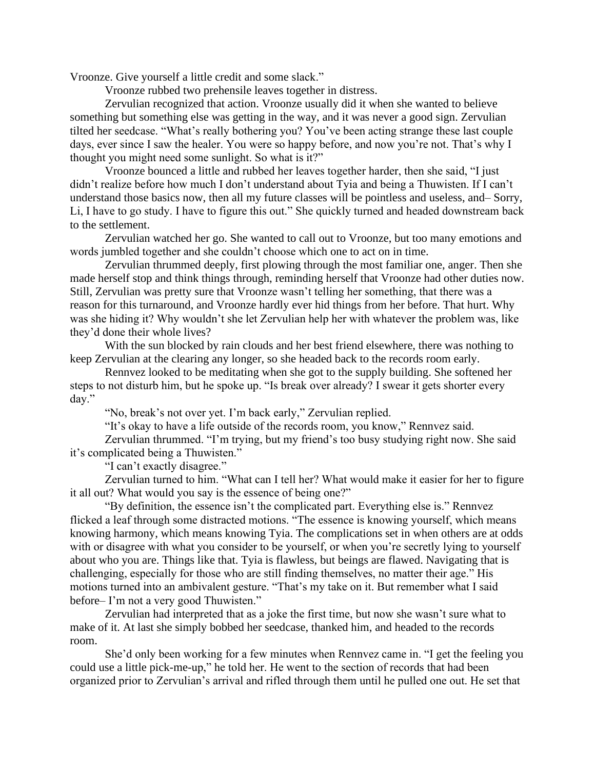Vroonze. Give yourself a little credit and some slack."

Vroonze rubbed two prehensile leaves together in distress.

Zervulian recognized that action. Vroonze usually did it when she wanted to believe something but something else was getting in the way, and it was never a good sign. Zervulian tilted her seedcase. "What's really bothering you? You've been acting strange these last couple days, ever since I saw the healer. You were so happy before, and now you're not. That's why I thought you might need some sunlight. So what is it?"

Vroonze bounced a little and rubbed her leaves together harder, then she said, "I just didn't realize before how much I don't understand about Tyia and being a Thuwisten. If I can't understand those basics now, then all my future classes will be pointless and useless, and– Sorry, Li, I have to go study. I have to figure this out." She quickly turned and headed downstream back to the settlement.

Zervulian watched her go. She wanted to call out to Vroonze, but too many emotions and words jumbled together and she couldn't choose which one to act on in time.

Zervulian thrummed deeply, first plowing through the most familiar one, anger. Then she made herself stop and think things through, reminding herself that Vroonze had other duties now. Still, Zervulian was pretty sure that Vroonze wasn't telling her something, that there was a reason for this turnaround, and Vroonze hardly ever hid things from her before. That hurt. Why was she hiding it? Why wouldn't she let Zervulian help her with whatever the problem was, like they'd done their whole lives?

With the sun blocked by rain clouds and her best friend elsewhere, there was nothing to keep Zervulian at the clearing any longer, so she headed back to the records room early.

Rennvez looked to be meditating when she got to the supply building. She softened her steps to not disturb him, but he spoke up. "Is break over already? I swear it gets shorter every day."

"No, break's not over yet. I'm back early," Zervulian replied.

"It's okay to have a life outside of the records room, you know," Rennvez said.

Zervulian thrummed. "I'm trying, but my friend's too busy studying right now. She said it's complicated being a Thuwisten."

"I can't exactly disagree."

Zervulian turned to him. "What can I tell her? What would make it easier for her to figure it all out? What would you say is the essence of being one?"

"By definition, the essence isn't the complicated part. Everything else is." Rennvez flicked a leaf through some distracted motions. "The essence is knowing yourself, which means knowing harmony, which means knowing Tyia. The complications set in when others are at odds with or disagree with what you consider to be yourself, or when you're secretly lying to yourself about who you are. Things like that. Tyia is flawless, but beings are flawed. Navigating that is challenging, especially for those who are still finding themselves, no matter their age." His motions turned into an ambivalent gesture. "That's my take on it. But remember what I said before– I'm not a very good Thuwisten."

Zervulian had interpreted that as a joke the first time, but now she wasn't sure what to make of it. At last she simply bobbed her seedcase, thanked him, and headed to the records room.

She'd only been working for a few minutes when Rennvez came in. "I get the feeling you could use a little pick-me-up," he told her. He went to the section of records that had been organized prior to Zervulian's arrival and rifled through them until he pulled one out. He set that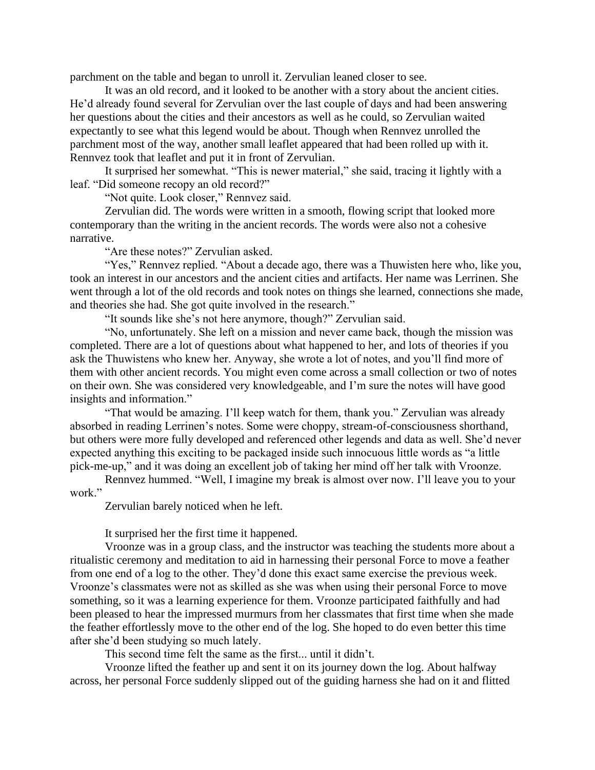parchment on the table and began to unroll it. Zervulian leaned closer to see.

It was an old record, and it looked to be another with a story about the ancient cities. He'd already found several for Zervulian over the last couple of days and had been answering her questions about the cities and their ancestors as well as he could, so Zervulian waited expectantly to see what this legend would be about. Though when Rennvez unrolled the parchment most of the way, another small leaflet appeared that had been rolled up with it. Rennvez took that leaflet and put it in front of Zervulian.

It surprised her somewhat. "This is newer material," she said, tracing it lightly with a leaf. "Did someone recopy an old record?"

"Not quite. Look closer," Rennvez said.

Zervulian did. The words were written in a smooth, flowing script that looked more contemporary than the writing in the ancient records. The words were also not a cohesive narrative.

"Are these notes?" Zervulian asked.

"Yes," Rennvez replied. "About a decade ago, there was a Thuwisten here who, like you, took an interest in our ancestors and the ancient cities and artifacts. Her name was Lerrinen. She went through a lot of the old records and took notes on things she learned, connections she made, and theories she had. She got quite involved in the research."

"It sounds like she's not here anymore, though?" Zervulian said.

"No, unfortunately. She left on a mission and never came back, though the mission was completed. There are a lot of questions about what happened to her, and lots of theories if you ask the Thuwistens who knew her. Anyway, she wrote a lot of notes, and you'll find more of them with other ancient records. You might even come across a small collection or two of notes on their own. She was considered very knowledgeable, and I'm sure the notes will have good insights and information."

"That would be amazing. I'll keep watch for them, thank you." Zervulian was already absorbed in reading Lerrinen's notes. Some were choppy, stream-of-consciousness shorthand, but others were more fully developed and referenced other legends and data as well. She'd never expected anything this exciting to be packaged inside such innocuous little words as "a little pick-me-up," and it was doing an excellent job of taking her mind off her talk with Vroonze.

Rennvez hummed. "Well, I imagine my break is almost over now. I'll leave you to your work."

Zervulian barely noticed when he left.

It surprised her the first time it happened.

Vroonze was in a group class, and the instructor was teaching the students more about a ritualistic ceremony and meditation to aid in harnessing their personal Force to move a feather from one end of a log to the other. They'd done this exact same exercise the previous week. Vroonze's classmates were not as skilled as she was when using their personal Force to move something, so it was a learning experience for them. Vroonze participated faithfully and had been pleased to hear the impressed murmurs from her classmates that first time when she made the feather effortlessly move to the other end of the log. She hoped to do even better this time after she'd been studying so much lately.

This second time felt the same as the first... until it didn't.

Vroonze lifted the feather up and sent it on its journey down the log. About halfway across, her personal Force suddenly slipped out of the guiding harness she had on it and flitted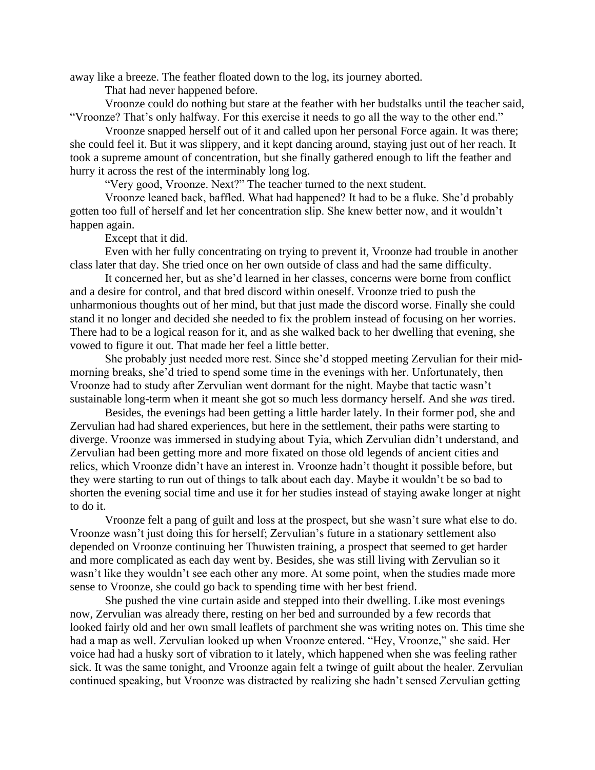away like a breeze. The feather floated down to the log, its journey aborted.

That had never happened before.

Vroonze could do nothing but stare at the feather with her budstalks until the teacher said, "Vroonze? That's only halfway. For this exercise it needs to go all the way to the other end."

Vroonze snapped herself out of it and called upon her personal Force again. It was there; she could feel it. But it was slippery, and it kept dancing around, staying just out of her reach. It took a supreme amount of concentration, but she finally gathered enough to lift the feather and hurry it across the rest of the interminably long log.

"Very good, Vroonze. Next?" The teacher turned to the next student.

Vroonze leaned back, baffled. What had happened? It had to be a fluke. She'd probably gotten too full of herself and let her concentration slip. She knew better now, and it wouldn't happen again.

Except that it did.

Even with her fully concentrating on trying to prevent it, Vroonze had trouble in another class later that day. She tried once on her own outside of class and had the same difficulty.

It concerned her, but as she'd learned in her classes, concerns were borne from conflict and a desire for control, and that bred discord within oneself. Vroonze tried to push the unharmonious thoughts out of her mind, but that just made the discord worse. Finally she could stand it no longer and decided she needed to fix the problem instead of focusing on her worries. There had to be a logical reason for it, and as she walked back to her dwelling that evening, she vowed to figure it out. That made her feel a little better.

She probably just needed more rest. Since she'd stopped meeting Zervulian for their midmorning breaks, she'd tried to spend some time in the evenings with her. Unfortunately, then Vroonze had to study after Zervulian went dormant for the night. Maybe that tactic wasn't sustainable long-term when it meant she got so much less dormancy herself. And she *was* tired.

Besides, the evenings had been getting a little harder lately. In their former pod, she and Zervulian had had shared experiences, but here in the settlement, their paths were starting to diverge. Vroonze was immersed in studying about Tyia, which Zervulian didn't understand, and Zervulian had been getting more and more fixated on those old legends of ancient cities and relics, which Vroonze didn't have an interest in. Vroonze hadn't thought it possible before, but they were starting to run out of things to talk about each day. Maybe it wouldn't be so bad to shorten the evening social time and use it for her studies instead of staying awake longer at night to do it.

Vroonze felt a pang of guilt and loss at the prospect, but she wasn't sure what else to do. Vroonze wasn't just doing this for herself; Zervulian's future in a stationary settlement also depended on Vroonze continuing her Thuwisten training, a prospect that seemed to get harder and more complicated as each day went by. Besides, she was still living with Zervulian so it wasn't like they wouldn't see each other any more. At some point, when the studies made more sense to Vroonze, she could go back to spending time with her best friend.

She pushed the vine curtain aside and stepped into their dwelling. Like most evenings now, Zervulian was already there, resting on her bed and surrounded by a few records that looked fairly old and her own small leaflets of parchment she was writing notes on. This time she had a map as well. Zervulian looked up when Vroonze entered. "Hey, Vroonze," she said. Her voice had had a husky sort of vibration to it lately, which happened when she was feeling rather sick. It was the same tonight, and Vroonze again felt a twinge of guilt about the healer. Zervulian continued speaking, but Vroonze was distracted by realizing she hadn't sensed Zervulian getting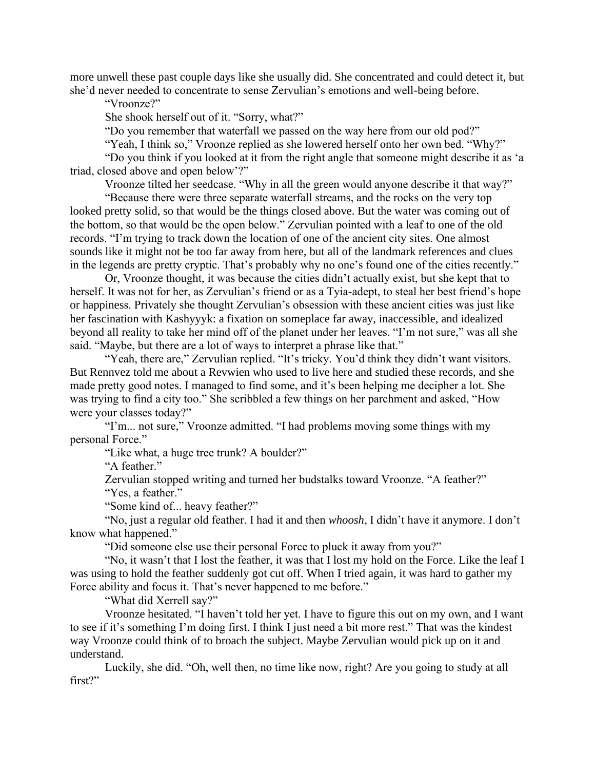more unwell these past couple days like she usually did. She concentrated and could detect it, but she'd never needed to concentrate to sense Zervulian's emotions and well-being before.

"Vroonze?"

She shook herself out of it. "Sorry, what?"

"Do you remember that waterfall we passed on the way here from our old pod?"

"Yeah, I think so," Vroonze replied as she lowered herself onto her own bed. "Why?"

"Do you think if you looked at it from the right angle that someone might describe it as 'a triad, closed above and open below'?"

Vroonze tilted her seedcase. "Why in all the green would anyone describe it that way?"

"Because there were three separate waterfall streams, and the rocks on the very top looked pretty solid, so that would be the things closed above. But the water was coming out of the bottom, so that would be the open below." Zervulian pointed with a leaf to one of the old records. "I'm trying to track down the location of one of the ancient city sites. One almost sounds like it might not be too far away from here, but all of the landmark references and clues in the legends are pretty cryptic. That's probably why no one's found one of the cities recently."

Or, Vroonze thought, it was because the cities didn't actually exist, but she kept that to herself. It was not for her, as Zervulian's friend or as a Tyia-adept, to steal her best friend's hope or happiness. Privately she thought Zervulian's obsession with these ancient cities was just like her fascination with Kashyyyk: a fixation on someplace far away, inaccessible, and idealized beyond all reality to take her mind off of the planet under her leaves. "I'm not sure," was all she said. "Maybe, but there are a lot of ways to interpret a phrase like that."

"Yeah, there are," Zervulian replied. "It's tricky. You'd think they didn't want visitors. But Rennvez told me about a Revwien who used to live here and studied these records, and she made pretty good notes. I managed to find some, and it's been helping me decipher a lot. She was trying to find a city too." She scribbled a few things on her parchment and asked, "How were your classes today?"

"I'm... not sure," Vroonze admitted. "I had problems moving some things with my personal Force."

"Like what, a huge tree trunk? A boulder?"

"A feather."

Zervulian stopped writing and turned her budstalks toward Vroonze. "A feather?" "Yes, a feather."

"Some kind of... heavy feather?"

"No, just a regular old feather. I had it and then *whoosh*, I didn't have it anymore. I don't know what happened."

"Did someone else use their personal Force to pluck it away from you?"

"No, it wasn't that I lost the feather, it was that I lost my hold on the Force. Like the leaf I was using to hold the feather suddenly got cut off. When I tried again, it was hard to gather my Force ability and focus it. That's never happened to me before."

"What did Xerrell say?"

Vroonze hesitated. "I haven't told her yet. I have to figure this out on my own, and I want to see if it's something I'm doing first. I think I just need a bit more rest." That was the kindest way Vroonze could think of to broach the subject. Maybe Zervulian would pick up on it and understand.

Luckily, she did. "Oh, well then, no time like now, right? Are you going to study at all first?"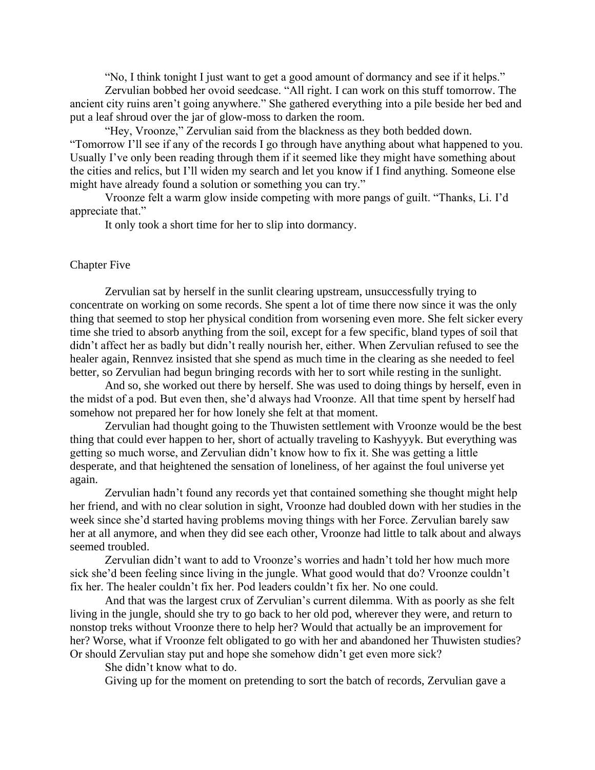"No, I think tonight I just want to get a good amount of dormancy and see if it helps."

Zervulian bobbed her ovoid seedcase. "All right. I can work on this stuff tomorrow. The ancient city ruins aren't going anywhere." She gathered everything into a pile beside her bed and put a leaf shroud over the jar of glow-moss to darken the room.

"Hey, Vroonze," Zervulian said from the blackness as they both bedded down. "Tomorrow I'll see if any of the records I go through have anything about what happened to you. Usually I've only been reading through them if it seemed like they might have something about the cities and relics, but I'll widen my search and let you know if I find anything. Someone else might have already found a solution or something you can try."

Vroonze felt a warm glow inside competing with more pangs of guilt. "Thanks, Li. I'd appreciate that."

It only took a short time for her to slip into dormancy.

### Chapter Five

Zervulian sat by herself in the sunlit clearing upstream, unsuccessfully trying to concentrate on working on some records. She spent a lot of time there now since it was the only thing that seemed to stop her physical condition from worsening even more. She felt sicker every time she tried to absorb anything from the soil, except for a few specific, bland types of soil that didn't affect her as badly but didn't really nourish her, either. When Zervulian refused to see the healer again, Rennvez insisted that she spend as much time in the clearing as she needed to feel better, so Zervulian had begun bringing records with her to sort while resting in the sunlight.

And so, she worked out there by herself. She was used to doing things by herself, even in the midst of a pod. But even then, she'd always had Vroonze. All that time spent by herself had somehow not prepared her for how lonely she felt at that moment.

Zervulian had thought going to the Thuwisten settlement with Vroonze would be the best thing that could ever happen to her, short of actually traveling to Kashyyyk. But everything was getting so much worse, and Zervulian didn't know how to fix it. She was getting a little desperate, and that heightened the sensation of loneliness, of her against the foul universe yet again.

Zervulian hadn't found any records yet that contained something she thought might help her friend, and with no clear solution in sight, Vroonze had doubled down with her studies in the week since she'd started having problems moving things with her Force. Zervulian barely saw her at all anymore, and when they did see each other, Vroonze had little to talk about and always seemed troubled.

Zervulian didn't want to add to Vroonze's worries and hadn't told her how much more sick she'd been feeling since living in the jungle. What good would that do? Vroonze couldn't fix her. The healer couldn't fix her. Pod leaders couldn't fix her. No one could.

And that was the largest crux of Zervulian's current dilemma. With as poorly as she felt living in the jungle, should she try to go back to her old pod, wherever they were, and return to nonstop treks without Vroonze there to help her? Would that actually be an improvement for her? Worse, what if Vroonze felt obligated to go with her and abandoned her Thuwisten studies? Or should Zervulian stay put and hope she somehow didn't get even more sick?

She didn't know what to do.

Giving up for the moment on pretending to sort the batch of records, Zervulian gave a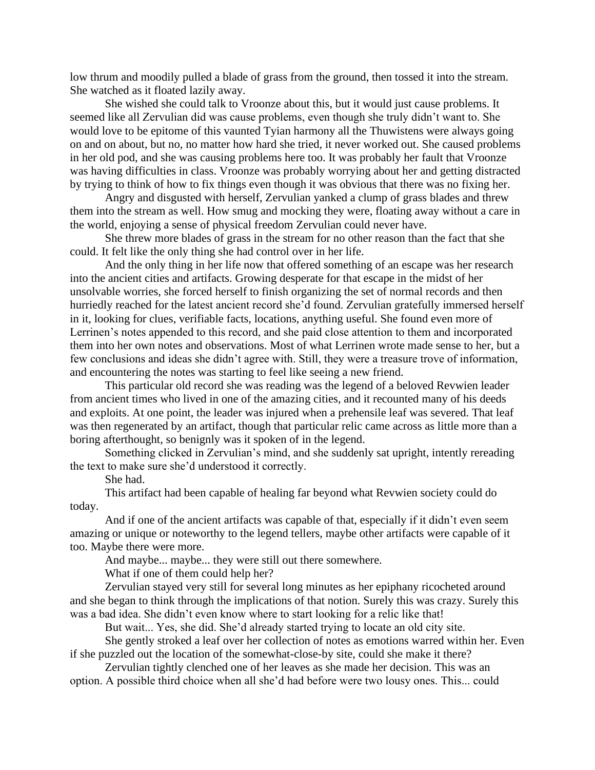low thrum and moodily pulled a blade of grass from the ground, then tossed it into the stream. She watched as it floated lazily away.

She wished she could talk to Vroonze about this, but it would just cause problems. It seemed like all Zervulian did was cause problems, even though she truly didn't want to. She would love to be epitome of this vaunted Tyian harmony all the Thuwistens were always going on and on about, but no, no matter how hard she tried, it never worked out. She caused problems in her old pod, and she was causing problems here too. It was probably her fault that Vroonze was having difficulties in class. Vroonze was probably worrying about her and getting distracted by trying to think of how to fix things even though it was obvious that there was no fixing her.

Angry and disgusted with herself, Zervulian yanked a clump of grass blades and threw them into the stream as well. How smug and mocking they were, floating away without a care in the world, enjoying a sense of physical freedom Zervulian could never have.

She threw more blades of grass in the stream for no other reason than the fact that she could. It felt like the only thing she had control over in her life.

And the only thing in her life now that offered something of an escape was her research into the ancient cities and artifacts. Growing desperate for that escape in the midst of her unsolvable worries, she forced herself to finish organizing the set of normal records and then hurriedly reached for the latest ancient record she'd found. Zervulian gratefully immersed herself in it, looking for clues, verifiable facts, locations, anything useful. She found even more of Lerrinen's notes appended to this record, and she paid close attention to them and incorporated them into her own notes and observations. Most of what Lerrinen wrote made sense to her, but a few conclusions and ideas she didn't agree with. Still, they were a treasure trove of information, and encountering the notes was starting to feel like seeing a new friend.

This particular old record she was reading was the legend of a beloved Revwien leader from ancient times who lived in one of the amazing cities, and it recounted many of his deeds and exploits. At one point, the leader was injured when a prehensile leaf was severed. That leaf was then regenerated by an artifact, though that particular relic came across as little more than a boring afterthought, so benignly was it spoken of in the legend.

Something clicked in Zervulian's mind, and she suddenly sat upright, intently rereading the text to make sure she'd understood it correctly.

She had.

This artifact had been capable of healing far beyond what Revwien society could do today.

And if one of the ancient artifacts was capable of that, especially if it didn't even seem amazing or unique or noteworthy to the legend tellers, maybe other artifacts were capable of it too. Maybe there were more.

And maybe... maybe... they were still out there somewhere.

What if one of them could help her?

Zervulian stayed very still for several long minutes as her epiphany ricocheted around and she began to think through the implications of that notion. Surely this was crazy. Surely this was a bad idea. She didn't even know where to start looking for a relic like that!

But wait... Yes, she did. She'd already started trying to locate an old city site.

She gently stroked a leaf over her collection of notes as emotions warred within her. Even if she puzzled out the location of the somewhat-close-by site, could she make it there?

Zervulian tightly clenched one of her leaves as she made her decision. This was an option. A possible third choice when all she'd had before were two lousy ones. This... could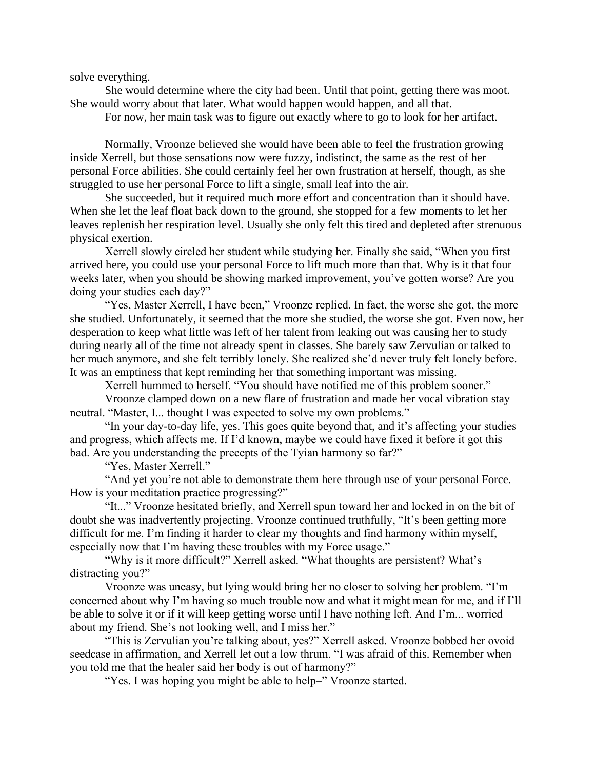solve everything.

She would determine where the city had been. Until that point, getting there was moot. She would worry about that later. What would happen would happen, and all that.

For now, her main task was to figure out exactly where to go to look for her artifact.

Normally, Vroonze believed she would have been able to feel the frustration growing inside Xerrell, but those sensations now were fuzzy, indistinct, the same as the rest of her personal Force abilities. She could certainly feel her own frustration at herself, though, as she struggled to use her personal Force to lift a single, small leaf into the air.

She succeeded, but it required much more effort and concentration than it should have. When she let the leaf float back down to the ground, she stopped for a few moments to let her leaves replenish her respiration level. Usually she only felt this tired and depleted after strenuous physical exertion.

Xerrell slowly circled her student while studying her. Finally she said, "When you first arrived here, you could use your personal Force to lift much more than that. Why is it that four weeks later, when you should be showing marked improvement, you've gotten worse? Are you doing your studies each day?"

"Yes, Master Xerrell, I have been," Vroonze replied. In fact, the worse she got, the more she studied. Unfortunately, it seemed that the more she studied, the worse she got. Even now, her desperation to keep what little was left of her talent from leaking out was causing her to study during nearly all of the time not already spent in classes. She barely saw Zervulian or talked to her much anymore, and she felt terribly lonely. She realized she'd never truly felt lonely before. It was an emptiness that kept reminding her that something important was missing.

Xerrell hummed to herself. "You should have notified me of this problem sooner."

Vroonze clamped down on a new flare of frustration and made her vocal vibration stay neutral. "Master, I... thought I was expected to solve my own problems."

"In your day-to-day life, yes. This goes quite beyond that, and it's affecting your studies and progress, which affects me. If I'd known, maybe we could have fixed it before it got this bad. Are you understanding the precepts of the Tyian harmony so far?"

"Yes, Master Xerrell."

"And yet you're not able to demonstrate them here through use of your personal Force. How is your meditation practice progressing?"

"It..." Vroonze hesitated briefly, and Xerrell spun toward her and locked in on the bit of doubt she was inadvertently projecting. Vroonze continued truthfully, "It's been getting more difficult for me. I'm finding it harder to clear my thoughts and find harmony within myself, especially now that I'm having these troubles with my Force usage."

"Why is it more difficult?" Xerrell asked. "What thoughts are persistent? What's distracting you?"

Vroonze was uneasy, but lying would bring her no closer to solving her problem. "I'm concerned about why I'm having so much trouble now and what it might mean for me, and if I'll be able to solve it or if it will keep getting worse until I have nothing left. And I'm... worried about my friend. She's not looking well, and I miss her."

"This is Zervulian you're talking about, yes?" Xerrell asked. Vroonze bobbed her ovoid seedcase in affirmation, and Xerrell let out a low thrum. "I was afraid of this. Remember when you told me that the healer said her body is out of harmony?"

"Yes. I was hoping you might be able to help-" Vroonze started.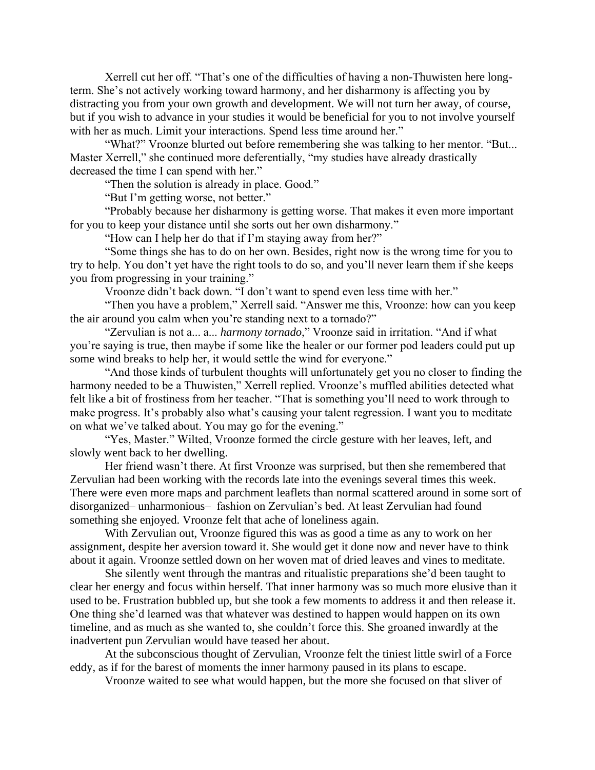Xerrell cut her off. "That's one of the difficulties of having a non-Thuwisten here longterm. She's not actively working toward harmony, and her disharmony is affecting you by distracting you from your own growth and development. We will not turn her away, of course, but if you wish to advance in your studies it would be beneficial for you to not involve yourself with her as much. Limit your interactions. Spend less time around her."

"What?" Vroonze blurted out before remembering she was talking to her mentor. "But... Master Xerrell," she continued more deferentially, "my studies have already drastically decreased the time I can spend with her."

"Then the solution is already in place. Good."

"But I'm getting worse, not better."

"Probably because her disharmony is getting worse. That makes it even more important for you to keep your distance until she sorts out her own disharmony."

"How can I help her do that if I'm staying away from her?"

"Some things she has to do on her own. Besides, right now is the wrong time for you to try to help. You don't yet have the right tools to do so, and you'll never learn them if she keeps you from progressing in your training."

Vroonze didn't back down. "I don't want to spend even less time with her."

"Then you have a problem," Xerrell said. "Answer me this, Vroonze: how can you keep the air around you calm when you're standing next to a tornado?"

"Zervulian is not a... a... *harmony tornado*," Vroonze said in irritation. "And if what you're saying is true, then maybe if some like the healer or our former pod leaders could put up some wind breaks to help her, it would settle the wind for everyone."

"And those kinds of turbulent thoughts will unfortunately get you no closer to finding the harmony needed to be a Thuwisten," Xerrell replied. Vroonze's muffled abilities detected what felt like a bit of frostiness from her teacher. "That is something you'll need to work through to make progress. It's probably also what's causing your talent regression. I want you to meditate on what we've talked about. You may go for the evening."

"Yes, Master." Wilted, Vroonze formed the circle gesture with her leaves, left, and slowly went back to her dwelling.

Her friend wasn't there. At first Vroonze was surprised, but then she remembered that Zervulian had been working with the records late into the evenings several times this week. There were even more maps and parchment leaflets than normal scattered around in some sort of disorganized– unharmonious– fashion on Zervulian's bed. At least Zervulian had found something she enjoyed. Vroonze felt that ache of loneliness again.

With Zervulian out, Vroonze figured this was as good a time as any to work on her assignment, despite her aversion toward it. She would get it done now and never have to think about it again. Vroonze settled down on her woven mat of dried leaves and vines to meditate.

She silently went through the mantras and ritualistic preparations she'd been taught to clear her energy and focus within herself. That inner harmony was so much more elusive than it used to be. Frustration bubbled up, but she took a few moments to address it and then release it. One thing she'd learned was that whatever was destined to happen would happen on its own timeline, and as much as she wanted to, she couldn't force this. She groaned inwardly at the inadvertent pun Zervulian would have teased her about.

At the subconscious thought of Zervulian, Vroonze felt the tiniest little swirl of a Force eddy, as if for the barest of moments the inner harmony paused in its plans to escape.

Vroonze waited to see what would happen, but the more she focused on that sliver of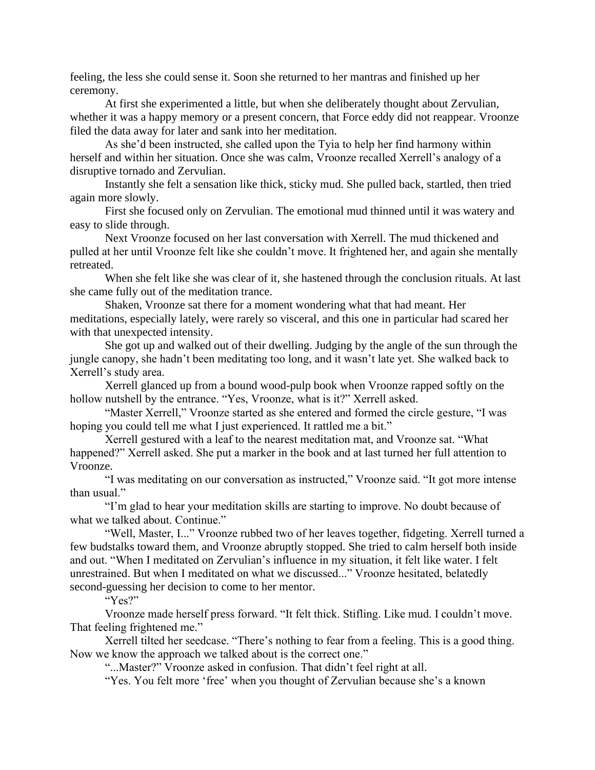feeling, the less she could sense it. Soon she returned to her mantras and finished up her ceremony.

At first she experimented a little, but when she deliberately thought about Zervulian, whether it was a happy memory or a present concern, that Force eddy did not reappear. Vroonze filed the data away for later and sank into her meditation.

As she'd been instructed, she called upon the Tyia to help her find harmony within herself and within her situation. Once she was calm, Vroonze recalled Xerrell's analogy of a disruptive tornado and Zervulian.

Instantly she felt a sensation like thick, sticky mud. She pulled back, startled, then tried again more slowly.

First she focused only on Zervulian. The emotional mud thinned until it was watery and easy to slide through.

Next Vroonze focused on her last conversation with Xerrell. The mud thickened and pulled at her until Vroonze felt like she couldn't move. It frightened her, and again she mentally retreated.

When she felt like she was clear of it, she hastened through the conclusion rituals. At last she came fully out of the meditation trance.

Shaken, Vroonze sat there for a moment wondering what that had meant. Her meditations, especially lately, were rarely so visceral, and this one in particular had scared her with that unexpected intensity.

She got up and walked out of their dwelling. Judging by the angle of the sun through the jungle canopy, she hadn't been meditating too long, and it wasn't late yet. She walked back to Xerrell's study area.

Xerrell glanced up from a bound wood-pulp book when Vroonze rapped softly on the hollow nutshell by the entrance. "Yes, Vroonze, what is it?" Xerrell asked.

"Master Xerrell," Vroonze started as she entered and formed the circle gesture, "I was hoping you could tell me what I just experienced. It rattled me a bit."

Xerrell gestured with a leaf to the nearest meditation mat, and Vroonze sat. "What happened?" Xerrell asked. She put a marker in the book and at last turned her full attention to Vroonze.

"I was meditating on our conversation as instructed," Vroonze said. "It got more intense than usual."

"I'm glad to hear your meditation skills are starting to improve. No doubt because of what we talked about. Continue."

"Well, Master, I..." Vroonze rubbed two of her leaves together, fidgeting. Xerrell turned a few budstalks toward them, and Vroonze abruptly stopped. She tried to calm herself both inside and out. "When I meditated on Zervulian's influence in my situation, it felt like water. I felt unrestrained. But when I meditated on what we discussed..." Vroonze hesitated, belatedly second-guessing her decision to come to her mentor.

"Yes?"

Vroonze made herself press forward. "It felt thick. Stifling. Like mud. I couldn't move. That feeling frightened me."

Xerrell tilted her seedcase. "There's nothing to fear from a feeling. This is a good thing. Now we know the approach we talked about is the correct one."

"...Master?" Vroonze asked in confusion. That didn't feel right at all.

"Yes. You felt more 'free' when you thought of Zervulian because she's a known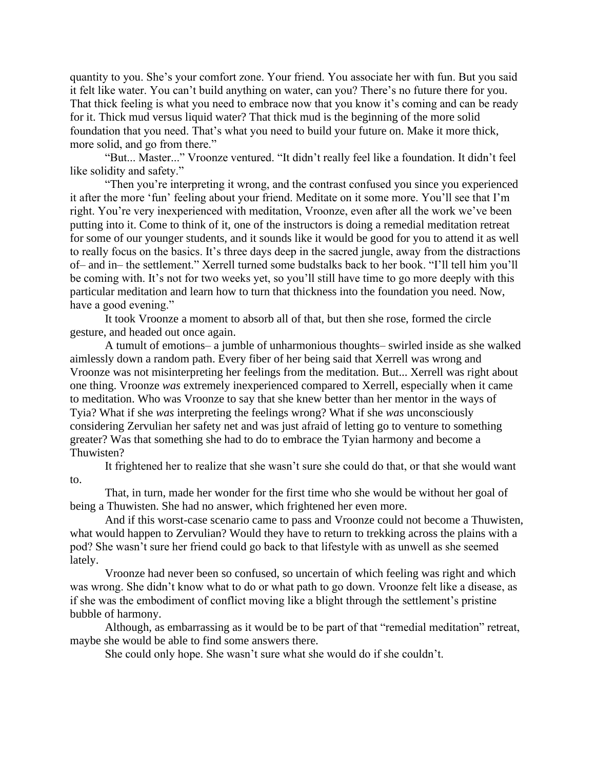quantity to you. She's your comfort zone. Your friend. You associate her with fun. But you said it felt like water. You can't build anything on water, can you? There's no future there for you. That thick feeling is what you need to embrace now that you know it's coming and can be ready for it. Thick mud versus liquid water? That thick mud is the beginning of the more solid foundation that you need. That's what you need to build your future on. Make it more thick, more solid, and go from there."

"But... Master..." Vroonze ventured. "It didn't really feel like a foundation. It didn't feel like solidity and safety."

"Then you're interpreting it wrong, and the contrast confused you since you experienced it after the more 'fun' feeling about your friend. Meditate on it some more. You'll see that I'm right. You're very inexperienced with meditation, Vroonze, even after all the work we've been putting into it. Come to think of it, one of the instructors is doing a remedial meditation retreat for some of our younger students, and it sounds like it would be good for you to attend it as well to really focus on the basics. It's three days deep in the sacred jungle, away from the distractions of– and in– the settlement." Xerrell turned some budstalks back to her book. "I'll tell him you'll be coming with. It's not for two weeks yet, so you'll still have time to go more deeply with this particular meditation and learn how to turn that thickness into the foundation you need. Now, have a good evening."

It took Vroonze a moment to absorb all of that, but then she rose, formed the circle gesture, and headed out once again.

A tumult of emotions– a jumble of unharmonious thoughts– swirled inside as she walked aimlessly down a random path. Every fiber of her being said that Xerrell was wrong and Vroonze was not misinterpreting her feelings from the meditation. But... Xerrell was right about one thing. Vroonze *was* extremely inexperienced compared to Xerrell, especially when it came to meditation. Who was Vroonze to say that she knew better than her mentor in the ways of Tyia? What if she *was* interpreting the feelings wrong? What if she *was* unconsciously considering Zervulian her safety net and was just afraid of letting go to venture to something greater? Was that something she had to do to embrace the Tyian harmony and become a Thuwisten?

It frightened her to realize that she wasn't sure she could do that, or that she would want to.

That, in turn, made her wonder for the first time who she would be without her goal of being a Thuwisten. She had no answer, which frightened her even more.

And if this worst-case scenario came to pass and Vroonze could not become a Thuwisten, what would happen to Zervulian? Would they have to return to trekking across the plains with a pod? She wasn't sure her friend could go back to that lifestyle with as unwell as she seemed lately.

Vroonze had never been so confused, so uncertain of which feeling was right and which was wrong. She didn't know what to do or what path to go down. Vroonze felt like a disease, as if she was the embodiment of conflict moving like a blight through the settlement's pristine bubble of harmony.

Although, as embarrassing as it would be to be part of that "remedial meditation" retreat, maybe she would be able to find some answers there.

She could only hope. She wasn't sure what she would do if she couldn't.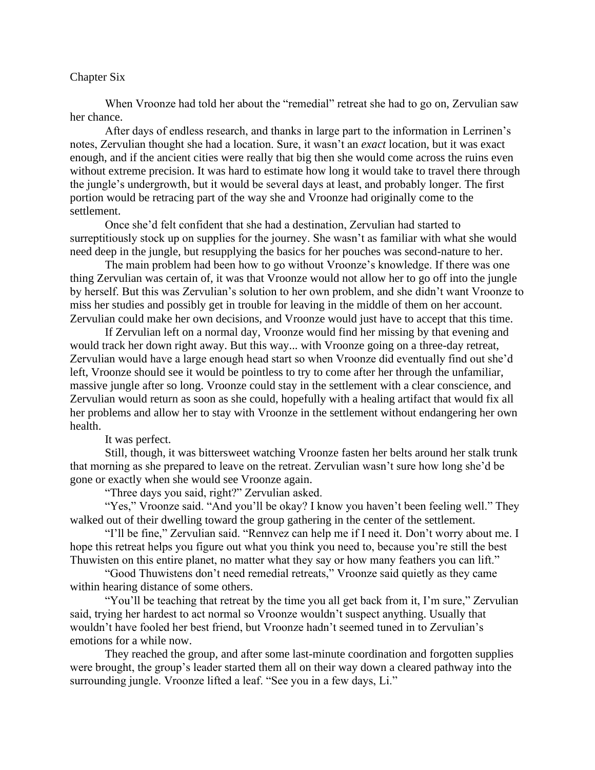#### Chapter Six

When Vroonze had told her about the "remedial" retreat she had to go on, Zervulian saw her chance.

After days of endless research, and thanks in large part to the information in Lerrinen's notes, Zervulian thought she had a location. Sure, it wasn't an *exact* location, but it was exact enough, and if the ancient cities were really that big then she would come across the ruins even without extreme precision. It was hard to estimate how long it would take to travel there through the jungle's undergrowth, but it would be several days at least, and probably longer. The first portion would be retracing part of the way she and Vroonze had originally come to the settlement.

Once she'd felt confident that she had a destination, Zervulian had started to surreptitiously stock up on supplies for the journey. She wasn't as familiar with what she would need deep in the jungle, but resupplying the basics for her pouches was second-nature to her.

The main problem had been how to go without Vroonze's knowledge. If there was one thing Zervulian was certain of, it was that Vroonze would not allow her to go off into the jungle by herself. But this was Zervulian's solution to her own problem, and she didn't want Vroonze to miss her studies and possibly get in trouble for leaving in the middle of them on her account. Zervulian could make her own decisions, and Vroonze would just have to accept that this time.

If Zervulian left on a normal day, Vroonze would find her missing by that evening and would track her down right away. But this way... with Vroonze going on a three-day retreat, Zervulian would have a large enough head start so when Vroonze did eventually find out she'd left, Vroonze should see it would be pointless to try to come after her through the unfamiliar, massive jungle after so long. Vroonze could stay in the settlement with a clear conscience, and Zervulian would return as soon as she could, hopefully with a healing artifact that would fix all her problems and allow her to stay with Vroonze in the settlement without endangering her own health.

It was perfect.

Still, though, it was bittersweet watching Vroonze fasten her belts around her stalk trunk that morning as she prepared to leave on the retreat. Zervulian wasn't sure how long she'd be gone or exactly when she would see Vroonze again.

"Three days you said, right?" Zervulian asked.

"Yes," Vroonze said. "And you'll be okay? I know you haven't been feeling well." They walked out of their dwelling toward the group gathering in the center of the settlement.

"I'll be fine," Zervulian said. "Rennvez can help me if I need it. Don't worry about me. I hope this retreat helps you figure out what you think you need to, because you're still the best Thuwisten on this entire planet, no matter what they say or how many feathers you can lift."

"Good Thuwistens don't need remedial retreats," Vroonze said quietly as they came within hearing distance of some others.

"You'll be teaching that retreat by the time you all get back from it, I'm sure," Zervulian said, trying her hardest to act normal so Vroonze wouldn't suspect anything. Usually that wouldn't have fooled her best friend, but Vroonze hadn't seemed tuned in to Zervulian's emotions for a while now.

They reached the group, and after some last-minute coordination and forgotten supplies were brought, the group's leader started them all on their way down a cleared pathway into the surrounding jungle. Vroonze lifted a leaf. "See you in a few days, Li."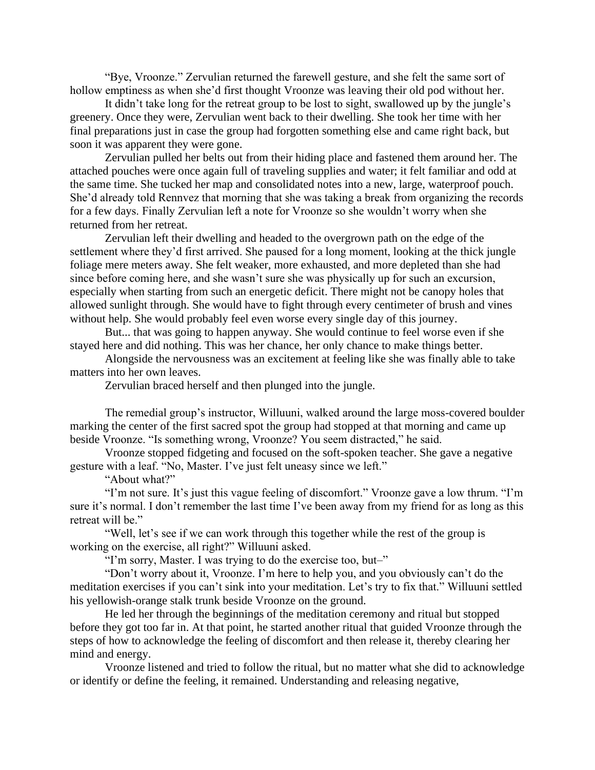"Bye, Vroonze." Zervulian returned the farewell gesture, and she felt the same sort of hollow emptiness as when she'd first thought Vroonze was leaving their old pod without her.

It didn't take long for the retreat group to be lost to sight, swallowed up by the jungle's greenery. Once they were, Zervulian went back to their dwelling. She took her time with her final preparations just in case the group had forgotten something else and came right back, but soon it was apparent they were gone.

Zervulian pulled her belts out from their hiding place and fastened them around her. The attached pouches were once again full of traveling supplies and water; it felt familiar and odd at the same time. She tucked her map and consolidated notes into a new, large, waterproof pouch. She'd already told Rennvez that morning that she was taking a break from organizing the records for a few days. Finally Zervulian left a note for Vroonze so she wouldn't worry when she returned from her retreat.

Zervulian left their dwelling and headed to the overgrown path on the edge of the settlement where they'd first arrived. She paused for a long moment, looking at the thick jungle foliage mere meters away. She felt weaker, more exhausted, and more depleted than she had since before coming here, and she wasn't sure she was physically up for such an excursion, especially when starting from such an energetic deficit. There might not be canopy holes that allowed sunlight through. She would have to fight through every centimeter of brush and vines without help. She would probably feel even worse every single day of this journey.

But... that was going to happen anyway. She would continue to feel worse even if she stayed here and did nothing. This was her chance, her only chance to make things better.

Alongside the nervousness was an excitement at feeling like she was finally able to take matters into her own leaves.

Zervulian braced herself and then plunged into the jungle.

The remedial group's instructor, Willuuni, walked around the large moss-covered boulder marking the center of the first sacred spot the group had stopped at that morning and came up beside Vroonze. "Is something wrong, Vroonze? You seem distracted," he said.

Vroonze stopped fidgeting and focused on the soft-spoken teacher. She gave a negative gesture with a leaf. "No, Master. I've just felt uneasy since we left."

"About what?"

"I'm not sure. It's just this vague feeling of discomfort." Vroonze gave a low thrum. "I'm sure it's normal. I don't remember the last time I've been away from my friend for as long as this retreat will be."

"Well, let's see if we can work through this together while the rest of the group is working on the exercise, all right?" Willuuni asked.

"I'm sorry, Master. I was trying to do the exercise too, but–"

"Don't worry about it, Vroonze. I'm here to help you, and you obviously can't do the meditation exercises if you can't sink into your meditation. Let's try to fix that." Willuuni settled his yellowish-orange stalk trunk beside Vroonze on the ground.

He led her through the beginnings of the meditation ceremony and ritual but stopped before they got too far in. At that point, he started another ritual that guided Vroonze through the steps of how to acknowledge the feeling of discomfort and then release it, thereby clearing her mind and energy.

Vroonze listened and tried to follow the ritual, but no matter what she did to acknowledge or identify or define the feeling, it remained. Understanding and releasing negative,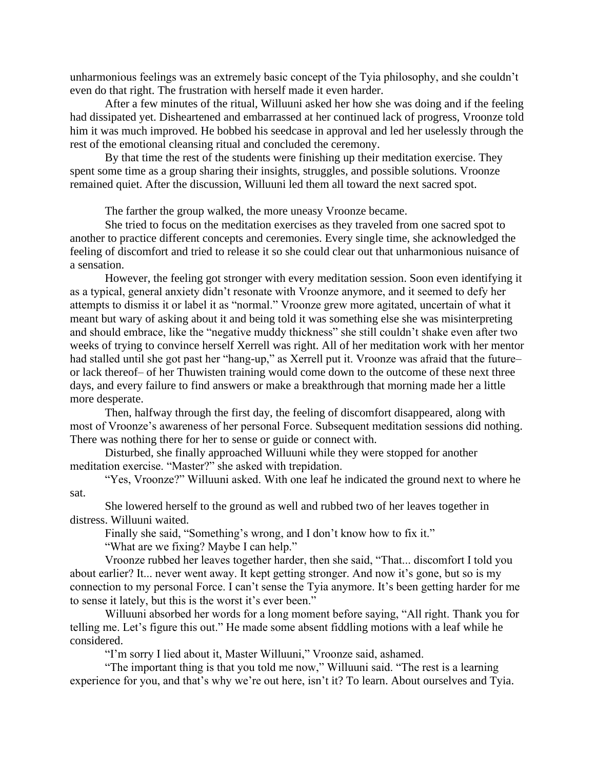unharmonious feelings was an extremely basic concept of the Tyia philosophy, and she couldn't even do that right. The frustration with herself made it even harder.

After a few minutes of the ritual, Willuuni asked her how she was doing and if the feeling had dissipated yet. Disheartened and embarrassed at her continued lack of progress, Vroonze told him it was much improved. He bobbed his seedcase in approval and led her uselessly through the rest of the emotional cleansing ritual and concluded the ceremony.

By that time the rest of the students were finishing up their meditation exercise. They spent some time as a group sharing their insights, struggles, and possible solutions. Vroonze remained quiet. After the discussion, Willuuni led them all toward the next sacred spot.

The farther the group walked, the more uneasy Vroonze became.

She tried to focus on the meditation exercises as they traveled from one sacred spot to another to practice different concepts and ceremonies. Every single time, she acknowledged the feeling of discomfort and tried to release it so she could clear out that unharmonious nuisance of a sensation.

However, the feeling got stronger with every meditation session. Soon even identifying it as a typical, general anxiety didn't resonate with Vroonze anymore, and it seemed to defy her attempts to dismiss it or label it as "normal." Vroonze grew more agitated, uncertain of what it meant but wary of asking about it and being told it was something else she was misinterpreting and should embrace, like the "negative muddy thickness" she still couldn't shake even after two weeks of trying to convince herself Xerrell was right. All of her meditation work with her mentor had stalled until she got past her "hang-up," as Xerrell put it. Vroonze was afraid that the future– or lack thereof– of her Thuwisten training would come down to the outcome of these next three days, and every failure to find answers or make a breakthrough that morning made her a little more desperate.

Then, halfway through the first day, the feeling of discomfort disappeared, along with most of Vroonze's awareness of her personal Force. Subsequent meditation sessions did nothing. There was nothing there for her to sense or guide or connect with.

Disturbed, she finally approached Willuuni while they were stopped for another meditation exercise. "Master?" she asked with trepidation.

"Yes, Vroonze?" Willuuni asked. With one leaf he indicated the ground next to where he sat.

She lowered herself to the ground as well and rubbed two of her leaves together in distress. Willuuni waited.

Finally she said, "Something's wrong, and I don't know how to fix it."

"What are we fixing? Maybe I can help."

Vroonze rubbed her leaves together harder, then she said, "That... discomfort I told you about earlier? It... never went away. It kept getting stronger. And now it's gone, but so is my connection to my personal Force. I can't sense the Tyia anymore. It's been getting harder for me to sense it lately, but this is the worst it's ever been."

Willuuni absorbed her words for a long moment before saying, "All right. Thank you for telling me. Let's figure this out." He made some absent fiddling motions with a leaf while he considered.

"I'm sorry I lied about it, Master Willuuni," Vroonze said, ashamed.

"The important thing is that you told me now," Willuuni said. "The rest is a learning experience for you, and that's why we're out here, isn't it? To learn. About ourselves and Tyia.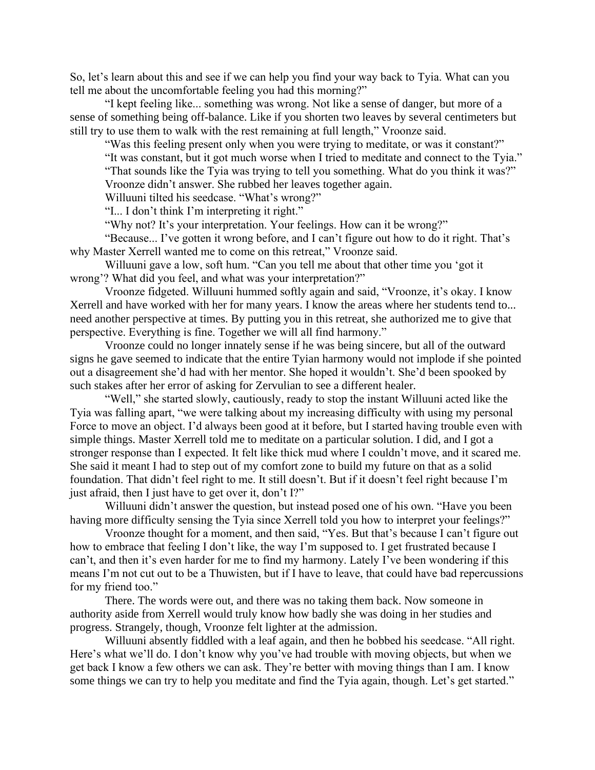So, let's learn about this and see if we can help you find your way back to Tyia. What can you tell me about the uncomfortable feeling you had this morning?"

"I kept feeling like... something was wrong. Not like a sense of danger, but more of a sense of something being off-balance. Like if you shorten two leaves by several centimeters but still try to use them to walk with the rest remaining at full length," Vroonze said.

"Was this feeling present only when you were trying to meditate, or was it constant?" "It was constant, but it got much worse when I tried to meditate and connect to the Tyia."

"That sounds like the Tyia was trying to tell you something. What do you think it was?" Vroonze didn't answer. She rubbed her leaves together again.

Willuuni tilted his seedcase. "What's wrong?"

"I... I don't think I'm interpreting it right."

"Why not? It's your interpretation. Your feelings. How can it be wrong?"

"Because... I've gotten it wrong before, and I can't figure out how to do it right. That's why Master Xerrell wanted me to come on this retreat," Vroonze said.

Willuuni gave a low, soft hum. "Can you tell me about that other time you 'got it wrong'? What did you feel, and what was your interpretation?"

Vroonze fidgeted. Willuuni hummed softly again and said, "Vroonze, it's okay. I know Xerrell and have worked with her for many years. I know the areas where her students tend to... need another perspective at times. By putting you in this retreat, she authorized me to give that perspective. Everything is fine. Together we will all find harmony."

Vroonze could no longer innately sense if he was being sincere, but all of the outward signs he gave seemed to indicate that the entire Tyian harmony would not implode if she pointed out a disagreement she'd had with her mentor. She hoped it wouldn't. She'd been spooked by such stakes after her error of asking for Zervulian to see a different healer.

"Well," she started slowly, cautiously, ready to stop the instant Willuuni acted like the Tyia was falling apart, "we were talking about my increasing difficulty with using my personal Force to move an object. I'd always been good at it before, but I started having trouble even with simple things. Master Xerrell told me to meditate on a particular solution. I did, and I got a stronger response than I expected. It felt like thick mud where I couldn't move, and it scared me. She said it meant I had to step out of my comfort zone to build my future on that as a solid foundation. That didn't feel right to me. It still doesn't. But if it doesn't feel right because I'm just afraid, then I just have to get over it, don't I?"

Willuuni didn't answer the question, but instead posed one of his own. "Have you been having more difficulty sensing the Tyia since Xerrell told you how to interpret your feelings?"

Vroonze thought for a moment, and then said, "Yes. But that's because I can't figure out how to embrace that feeling I don't like, the way I'm supposed to. I get frustrated because I can't, and then it's even harder for me to find my harmony. Lately I've been wondering if this means I'm not cut out to be a Thuwisten, but if I have to leave, that could have bad repercussions for my friend too."

There. The words were out, and there was no taking them back. Now someone in authority aside from Xerrell would truly know how badly she was doing in her studies and progress. Strangely, though, Vroonze felt lighter at the admission.

Willuuni absently fiddled with a leaf again, and then he bobbed his seedcase. "All right. Here's what we'll do. I don't know why you've had trouble with moving objects, but when we get back I know a few others we can ask. They're better with moving things than I am. I know some things we can try to help you meditate and find the Tyia again, though. Let's get started."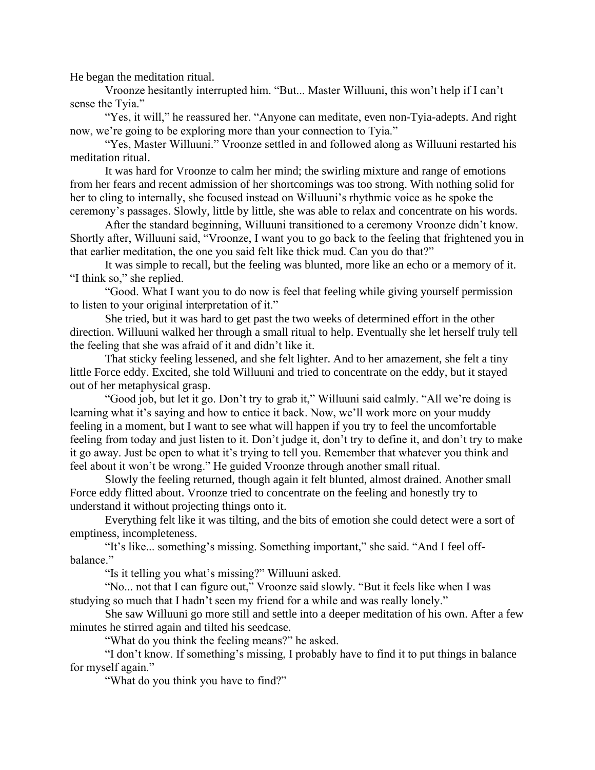He began the meditation ritual.

Vroonze hesitantly interrupted him. "But... Master Willuuni, this won't help if I can't sense the Tyia."

"Yes, it will," he reassured her. "Anyone can meditate, even non-Tyia-adepts. And right now, we're going to be exploring more than your connection to Tyia."

"Yes, Master Willuuni." Vroonze settled in and followed along as Willuuni restarted his meditation ritual.

It was hard for Vroonze to calm her mind; the swirling mixture and range of emotions from her fears and recent admission of her shortcomings was too strong. With nothing solid for her to cling to internally, she focused instead on Willuuni's rhythmic voice as he spoke the ceremony's passages. Slowly, little by little, she was able to relax and concentrate on his words.

After the standard beginning, Willuuni transitioned to a ceremony Vroonze didn't know. Shortly after, Willuuni said, "Vroonze, I want you to go back to the feeling that frightened you in that earlier meditation, the one you said felt like thick mud. Can you do that?"

It was simple to recall, but the feeling was blunted, more like an echo or a memory of it. "I think so," she replied.

"Good. What I want you to do now is feel that feeling while giving yourself permission to listen to your original interpretation of it."

She tried, but it was hard to get past the two weeks of determined effort in the other direction. Willuuni walked her through a small ritual to help. Eventually she let herself truly tell the feeling that she was afraid of it and didn't like it.

That sticky feeling lessened, and she felt lighter. And to her amazement, she felt a tiny little Force eddy. Excited, she told Willuuni and tried to concentrate on the eddy, but it stayed out of her metaphysical grasp.

"Good job, but let it go. Don't try to grab it," Willuuni said calmly. "All we're doing is learning what it's saying and how to entice it back. Now, we'll work more on your muddy feeling in a moment, but I want to see what will happen if you try to feel the uncomfortable feeling from today and just listen to it. Don't judge it, don't try to define it, and don't try to make it go away. Just be open to what it's trying to tell you. Remember that whatever you think and feel about it won't be wrong." He guided Vroonze through another small ritual.

Slowly the feeling returned, though again it felt blunted, almost drained. Another small Force eddy flitted about. Vroonze tried to concentrate on the feeling and honestly try to understand it without projecting things onto it.

Everything felt like it was tilting, and the bits of emotion she could detect were a sort of emptiness, incompleteness.

"It's like... something's missing. Something important," she said. "And I feel offbalance."

"Is it telling you what's missing?" Willuuni asked.

"No... not that I can figure out," Vroonze said slowly. "But it feels like when I was studying so much that I hadn't seen my friend for a while and was really lonely."

She saw Willuuni go more still and settle into a deeper meditation of his own. After a few minutes he stirred again and tilted his seedcase.

"What do you think the feeling means?" he asked.

"I don't know. If something's missing, I probably have to find it to put things in balance for myself again."

"What do you think you have to find?"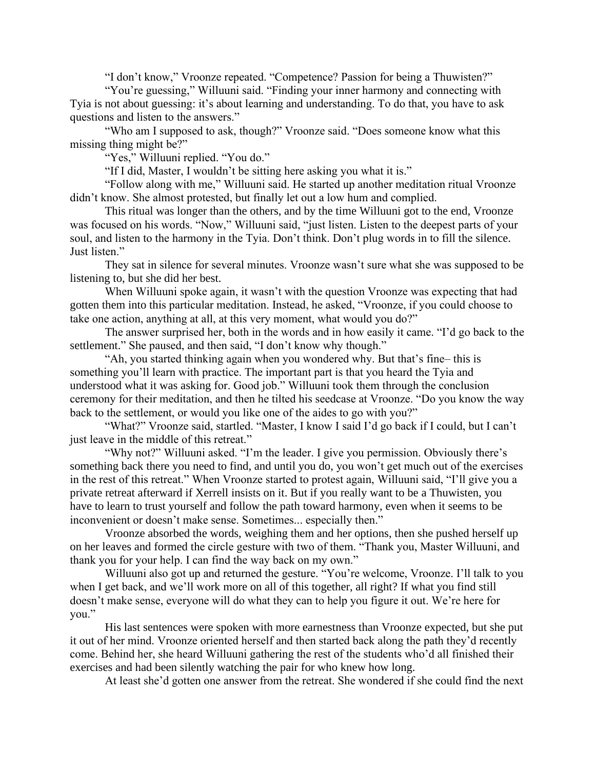"I don't know," Vroonze repeated. "Competence? Passion for being a Thuwisten?"

"You're guessing," Willuuni said. "Finding your inner harmony and connecting with Tyia is not about guessing: it's about learning and understanding. To do that, you have to ask questions and listen to the answers."

"Who am I supposed to ask, though?" Vroonze said. "Does someone know what this missing thing might be?"

"Yes," Willuuni replied. "You do."

"If I did, Master, I wouldn't be sitting here asking you what it is."

"Follow along with me," Willuuni said. He started up another meditation ritual Vroonze didn't know. She almost protested, but finally let out a low hum and complied.

This ritual was longer than the others, and by the time Willuuni got to the end, Vroonze was focused on his words. "Now," Willuuni said, "just listen. Listen to the deepest parts of your soul, and listen to the harmony in the Tyia. Don't think. Don't plug words in to fill the silence. Just listen."

They sat in silence for several minutes. Vroonze wasn't sure what she was supposed to be listening to, but she did her best.

When Willuuni spoke again, it wasn't with the question Vroonze was expecting that had gotten them into this particular meditation. Instead, he asked, "Vroonze, if you could choose to take one action, anything at all, at this very moment, what would you do?"

The answer surprised her, both in the words and in how easily it came. "I'd go back to the settlement." She paused, and then said, "I don't know why though."

"Ah, you started thinking again when you wondered why. But that's fine– this is something you'll learn with practice. The important part is that you heard the Tyia and understood what it was asking for. Good job." Willuuni took them through the conclusion ceremony for their meditation, and then he tilted his seedcase at Vroonze. "Do you know the way back to the settlement, or would you like one of the aides to go with you?"

"What?" Vroonze said, startled. "Master, I know I said I'd go back if I could, but I can't just leave in the middle of this retreat."

"Why not?" Willuuni asked. "I'm the leader. I give you permission. Obviously there's something back there you need to find, and until you do, you won't get much out of the exercises in the rest of this retreat." When Vroonze started to protest again, Willuuni said, "I'll give you a private retreat afterward if Xerrell insists on it. But if you really want to be a Thuwisten, you have to learn to trust yourself and follow the path toward harmony, even when it seems to be inconvenient or doesn't make sense. Sometimes... especially then."

Vroonze absorbed the words, weighing them and her options, then she pushed herself up on her leaves and formed the circle gesture with two of them. "Thank you, Master Willuuni, and thank you for your help. I can find the way back on my own."

Willuuni also got up and returned the gesture. "You're welcome, Vroonze. I'll talk to you when I get back, and we'll work more on all of this together, all right? If what you find still doesn't make sense, everyone will do what they can to help you figure it out. We're here for you."

His last sentences were spoken with more earnestness than Vroonze expected, but she put it out of her mind. Vroonze oriented herself and then started back along the path they'd recently come. Behind her, she heard Willuuni gathering the rest of the students who'd all finished their exercises and had been silently watching the pair for who knew how long.

At least she'd gotten one answer from the retreat. She wondered if she could find the next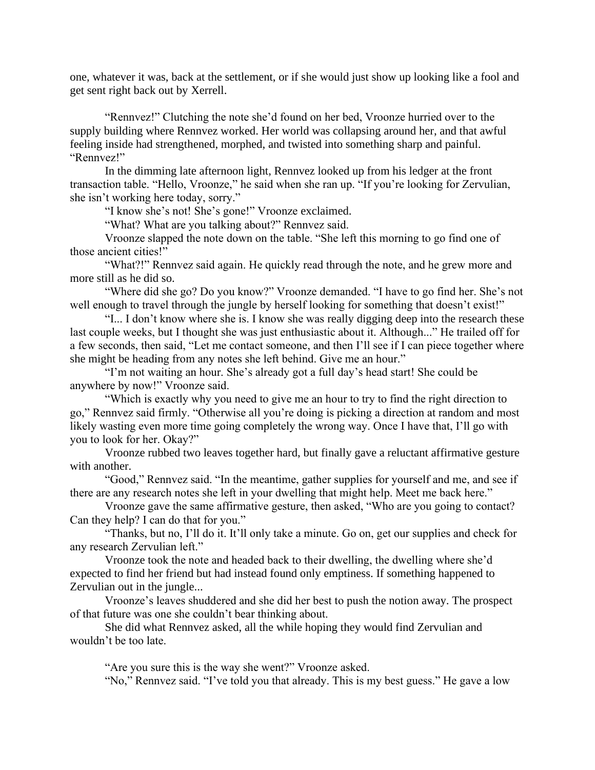one, whatever it was, back at the settlement, or if she would just show up looking like a fool and get sent right back out by Xerrell.

"Rennvez!" Clutching the note she'd found on her bed, Vroonze hurried over to the supply building where Rennvez worked. Her world was collapsing around her, and that awful feeling inside had strengthened, morphed, and twisted into something sharp and painful. "Rennvez!"

In the dimming late afternoon light, Rennvez looked up from his ledger at the front transaction table. "Hello, Vroonze," he said when she ran up. "If you're looking for Zervulian, she isn't working here today, sorry."

"I know she's not! She's gone!" Vroonze exclaimed.

"What? What are you talking about?" Rennvez said.

Vroonze slapped the note down on the table. "She left this morning to go find one of those ancient cities!"

"What?!" Rennvez said again. He quickly read through the note, and he grew more and more still as he did so.

"Where did she go? Do you know?" Vroonze demanded. "I have to go find her. She's not well enough to travel through the jungle by herself looking for something that doesn't exist!"

"I... I don't know where she is. I know she was really digging deep into the research these last couple weeks, but I thought she was just enthusiastic about it. Although..." He trailed off for a few seconds, then said, "Let me contact someone, and then I'll see if I can piece together where she might be heading from any notes she left behind. Give me an hour."

"I'm not waiting an hour. She's already got a full day's head start! She could be anywhere by now!" Vroonze said.

"Which is exactly why you need to give me an hour to try to find the right direction to go," Rennvez said firmly. "Otherwise all you're doing is picking a direction at random and most likely wasting even more time going completely the wrong way. Once I have that, I'll go with you to look for her. Okay?"

Vroonze rubbed two leaves together hard, but finally gave a reluctant affirmative gesture with another.

"Good," Rennvez said. "In the meantime, gather supplies for yourself and me, and see if there are any research notes she left in your dwelling that might help. Meet me back here."

Vroonze gave the same affirmative gesture, then asked, "Who are you going to contact? Can they help? I can do that for you."

"Thanks, but no, I'll do it. It'll only take a minute. Go on, get our supplies and check for any research Zervulian left."

Vroonze took the note and headed back to their dwelling, the dwelling where she'd expected to find her friend but had instead found only emptiness. If something happened to Zervulian out in the jungle...

Vroonze's leaves shuddered and she did her best to push the notion away. The prospect of that future was one she couldn't bear thinking about.

She did what Rennvez asked, all the while hoping they would find Zervulian and wouldn't be too late.

"Are you sure this is the way she went?" Vroonze asked.

"No," Rennvez said. "I've told you that already. This is my best guess." He gave a low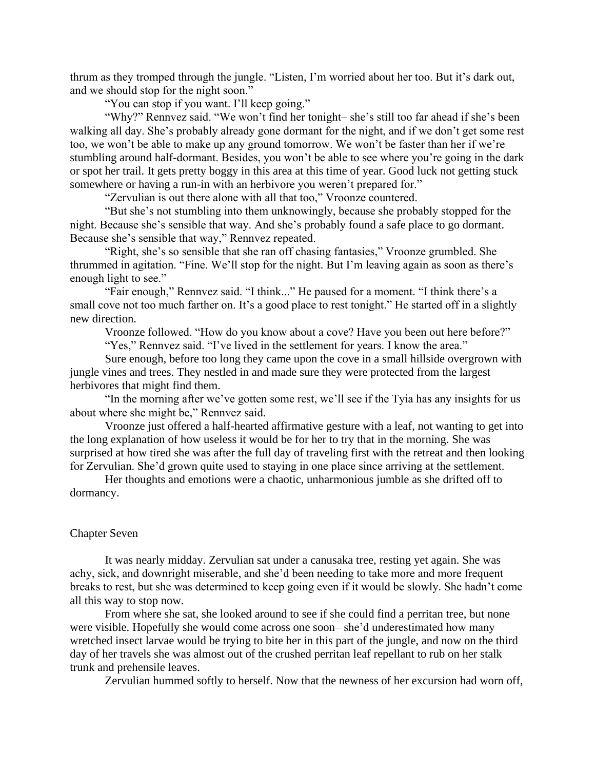thrum as they tromped through the jungle. "Listen, I'm worried about her too. But it's dark out, and we should stop for the night soon."

"You can stop if you want. I'll keep going."

"Why?" Rennvez said. "We won't find her tonight– she's still too far ahead if she's been walking all day. She's probably already gone dormant for the night, and if we don't get some rest too, we won't be able to make up any ground tomorrow. We won't be faster than her if we're stumbling around half-dormant. Besides, you won't be able to see where you're going in the dark or spot her trail. It gets pretty boggy in this area at this time of year. Good luck not getting stuck somewhere or having a run-in with an herbivore you weren't prepared for."

"Zervulian is out there alone with all that too," Vroonze countered.

"But she's not stumbling into them unknowingly, because she probably stopped for the night. Because she's sensible that way. And she's probably found a safe place to go dormant. Because she's sensible that way," Rennvez repeated.

"Right, she's so sensible that she ran off chasing fantasies," Vroonze grumbled. She thrummed in agitation. "Fine. We'll stop for the night. But I'm leaving again as soon as there's enough light to see."

"Fair enough," Rennvez said. "I think..." He paused for a moment. "I think there's a small cove not too much farther on. It's a good place to rest tonight." He started off in a slightly new direction.

Vroonze followed. "How do you know about a cove? Have you been out here before?" "Yes," Rennvez said. "I've lived in the settlement for years. I know the area."

Sure enough, before too long they came upon the cove in a small hillside overgrown with jungle vines and trees. They nestled in and made sure they were protected from the largest herbivores that might find them.

"In the morning after we've gotten some rest, we'll see if the Tyia has any insights for us about where she might be," Rennvez said.

Vroonze just offered a half-hearted affirmative gesture with a leaf, not wanting to get into the long explanation of how useless it would be for her to try that in the morning. She was surprised at how tired she was after the full day of traveling first with the retreat and then looking for Zervulian. She'd grown quite used to staying in one place since arriving at the settlement.

Her thoughts and emotions were a chaotic, unharmonious jumble as she drifted off to dormancy.

#### Chapter Seven

It was nearly midday. Zervulian sat under a canusaka tree, resting yet again. She was achy, sick, and downright miserable, and she'd been needing to take more and more frequent breaks to rest, but she was determined to keep going even if it would be slowly. She hadn't come all this way to stop now.

From where she sat, she looked around to see if she could find a perritan tree, but none were visible. Hopefully she would come across one soon– she'd underestimated how many wretched insect larvae would be trying to bite her in this part of the jungle, and now on the third day of her travels she was almost out of the crushed perritan leaf repellant to rub on her stalk trunk and prehensile leaves.

Zervulian hummed softly to herself. Now that the newness of her excursion had worn off,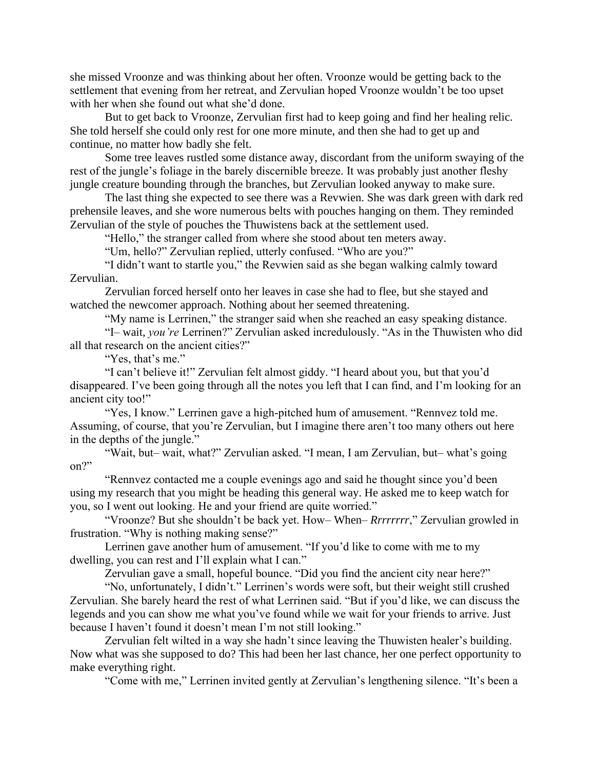she missed Vroonze and was thinking about her often. Vroonze would be getting back to the settlement that evening from her retreat, and Zervulian hoped Vroonze wouldn't be too upset with her when she found out what she'd done.

But to get back to Vroonze, Zervulian first had to keep going and find her healing relic. She told herself she could only rest for one more minute, and then she had to get up and continue, no matter how badly she felt.

Some tree leaves rustled some distance away, discordant from the uniform swaying of the rest of the jungle's foliage in the barely discernible breeze. It was probably just another fleshy jungle creature bounding through the branches, but Zervulian looked anyway to make sure.

The last thing she expected to see there was a Revwien. She was dark green with dark red prehensile leaves, and she wore numerous belts with pouches hanging on them. They reminded Zervulian of the style of pouches the Thuwistens back at the settlement used.

"Hello," the stranger called from where she stood about ten meters away.

"Um, hello?" Zervulian replied, utterly confused. "Who are you?"

"I didn't want to startle you," the Revwien said as she began walking calmly toward Zervulian.

Zervulian forced herself onto her leaves in case she had to flee, but she stayed and watched the newcomer approach. Nothing about her seemed threatening.

"My name is Lerrinen," the stranger said when she reached an easy speaking distance.

"I– wait, *you're* Lerrinen?" Zervulian asked incredulously. "As in the Thuwisten who did all that research on the ancient cities?"

"Yes, that's me."

"I can't believe it!" Zervulian felt almost giddy. "I heard about you, but that you'd disappeared. I've been going through all the notes you left that I can find, and I'm looking for an ancient city too!"

"Yes, I know." Lerrinen gave a high-pitched hum of amusement. "Rennvez told me. Assuming, of course, that you're Zervulian, but I imagine there aren't too many others out here in the depths of the jungle."

"Wait, but– wait, what?" Zervulian asked. "I mean, I am Zervulian, but– what's going on?"

"Rennvez contacted me a couple evenings ago and said he thought since you'd been using my research that you might be heading this general way. He asked me to keep watch for you, so I went out looking. He and your friend are quite worried."

"Vroonze? But she shouldn't be back yet. How– When– *Rrrrrrrr*," Zervulian growled in frustration. "Why is nothing making sense?"

Lerrinen gave another hum of amusement. "If you'd like to come with me to my dwelling, you can rest and I'll explain what I can."

Zervulian gave a small, hopeful bounce. "Did you find the ancient city near here?"

"No, unfortunately, I didn't." Lerrinen's words were soft, but their weight still crushed Zervulian. She barely heard the rest of what Lerrinen said. "But if you'd like, we can discuss the legends and you can show me what you've found while we wait for your friends to arrive. Just because I haven't found it doesn't mean I'm not still looking."

Zervulian felt wilted in a way she hadn't since leaving the Thuwisten healer's building. Now what was she supposed to do? This had been her last chance, her one perfect opportunity to make everything right.

"Come with me," Lerrinen invited gently at Zervulian's lengthening silence. "It's been a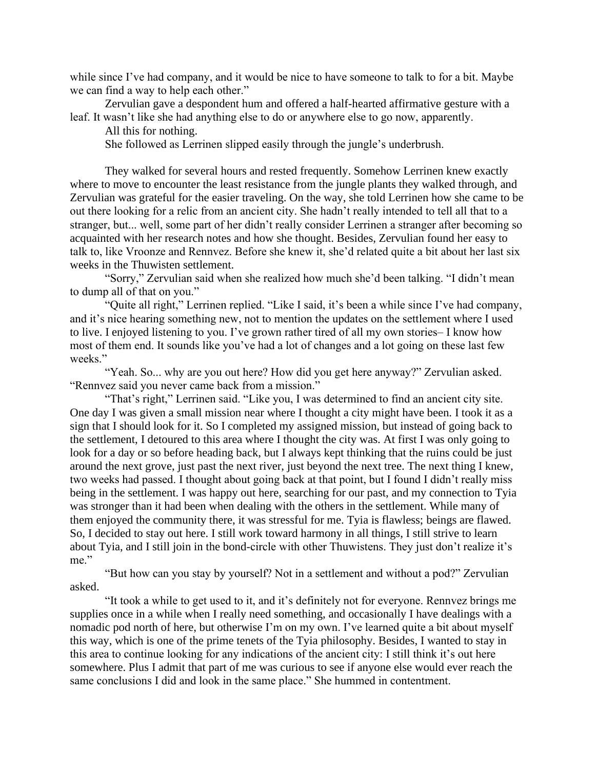while since I've had company, and it would be nice to have someone to talk to for a bit. Maybe we can find a way to help each other."

Zervulian gave a despondent hum and offered a half-hearted affirmative gesture with a leaf. It wasn't like she had anything else to do or anywhere else to go now, apparently.

All this for nothing.

She followed as Lerrinen slipped easily through the jungle's underbrush.

They walked for several hours and rested frequently. Somehow Lerrinen knew exactly where to move to encounter the least resistance from the jungle plants they walked through, and Zervulian was grateful for the easier traveling. On the way, she told Lerrinen how she came to be out there looking for a relic from an ancient city. She hadn't really intended to tell all that to a stranger, but... well, some part of her didn't really consider Lerrinen a stranger after becoming so acquainted with her research notes and how she thought. Besides, Zervulian found her easy to talk to, like Vroonze and Rennvez. Before she knew it, she'd related quite a bit about her last six weeks in the Thuwisten settlement.

"Sorry," Zervulian said when she realized how much she'd been talking. "I didn't mean to dump all of that on you."

"Quite all right," Lerrinen replied. "Like I said, it's been a while since I've had company, and it's nice hearing something new, not to mention the updates on the settlement where I used to live. I enjoyed listening to you. I've grown rather tired of all my own stories– I know how most of them end. It sounds like you've had a lot of changes and a lot going on these last few weeks."

"Yeah. So... why are you out here? How did you get here anyway?" Zervulian asked. "Rennvez said you never came back from a mission."

"That's right," Lerrinen said. "Like you, I was determined to find an ancient city site. One day I was given a small mission near where I thought a city might have been. I took it as a sign that I should look for it. So I completed my assigned mission, but instead of going back to the settlement, I detoured to this area where I thought the city was. At first I was only going to look for a day or so before heading back, but I always kept thinking that the ruins could be just around the next grove, just past the next river, just beyond the next tree. The next thing I knew, two weeks had passed. I thought about going back at that point, but I found I didn't really miss being in the settlement. I was happy out here, searching for our past, and my connection to Tyia was stronger than it had been when dealing with the others in the settlement. While many of them enjoyed the community there, it was stressful for me. Tyia is flawless; beings are flawed. So, I decided to stay out here. I still work toward harmony in all things, I still strive to learn about Tyia, and I still join in the bond-circle with other Thuwistens. They just don't realize it's me."

"But how can you stay by yourself? Not in a settlement and without a pod?" Zervulian asked.

"It took a while to get used to it, and it's definitely not for everyone. Rennvez brings me supplies once in a while when I really need something, and occasionally I have dealings with a nomadic pod north of here, but otherwise I'm on my own. I've learned quite a bit about myself this way, which is one of the prime tenets of the Tyia philosophy. Besides, I wanted to stay in this area to continue looking for any indications of the ancient city: I still think it's out here somewhere. Plus I admit that part of me was curious to see if anyone else would ever reach the same conclusions I did and look in the same place." She hummed in contentment.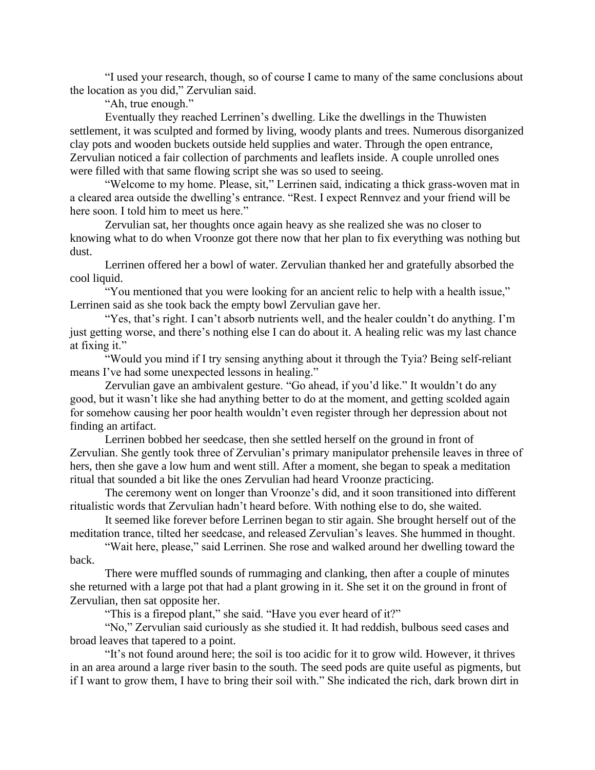"I used your research, though, so of course I came to many of the same conclusions about the location as you did," Zervulian said.

"Ah, true enough."

Eventually they reached Lerrinen's dwelling. Like the dwellings in the Thuwisten settlement, it was sculpted and formed by living, woody plants and trees. Numerous disorganized clay pots and wooden buckets outside held supplies and water. Through the open entrance, Zervulian noticed a fair collection of parchments and leaflets inside. A couple unrolled ones were filled with that same flowing script she was so used to seeing.

"Welcome to my home. Please, sit," Lerrinen said, indicating a thick grass-woven mat in a cleared area outside the dwelling's entrance. "Rest. I expect Rennvez and your friend will be here soon. I told him to meet us here."

Zervulian sat, her thoughts once again heavy as she realized she was no closer to knowing what to do when Vroonze got there now that her plan to fix everything was nothing but dust.

Lerrinen offered her a bowl of water. Zervulian thanked her and gratefully absorbed the cool liquid.

"You mentioned that you were looking for an ancient relic to help with a health issue," Lerrinen said as she took back the empty bowl Zervulian gave her.

"Yes, that's right. I can't absorb nutrients well, and the healer couldn't do anything. I'm just getting worse, and there's nothing else I can do about it. A healing relic was my last chance at fixing it."

"Would you mind if I try sensing anything about it through the Tyia? Being self-reliant means I've had some unexpected lessons in healing."

Zervulian gave an ambivalent gesture. "Go ahead, if you'd like." It wouldn't do any good, but it wasn't like she had anything better to do at the moment, and getting scolded again for somehow causing her poor health wouldn't even register through her depression about not finding an artifact.

Lerrinen bobbed her seedcase, then she settled herself on the ground in front of Zervulian. She gently took three of Zervulian's primary manipulator prehensile leaves in three of hers, then she gave a low hum and went still. After a moment, she began to speak a meditation ritual that sounded a bit like the ones Zervulian had heard Vroonze practicing.

The ceremony went on longer than Vroonze's did, and it soon transitioned into different ritualistic words that Zervulian hadn't heard before. With nothing else to do, she waited.

It seemed like forever before Lerrinen began to stir again. She brought herself out of the meditation trance, tilted her seedcase, and released Zervulian's leaves. She hummed in thought.

"Wait here, please," said Lerrinen. She rose and walked around her dwelling toward the back.

There were muffled sounds of rummaging and clanking, then after a couple of minutes she returned with a large pot that had a plant growing in it. She set it on the ground in front of Zervulian, then sat opposite her.

"This is a firepod plant," she said. "Have you ever heard of it?"

"No," Zervulian said curiously as she studied it. It had reddish, bulbous seed cases and broad leaves that tapered to a point.

"It's not found around here; the soil is too acidic for it to grow wild. However, it thrives in an area around a large river basin to the south. The seed pods are quite useful as pigments, but if I want to grow them, I have to bring their soil with." She indicated the rich, dark brown dirt in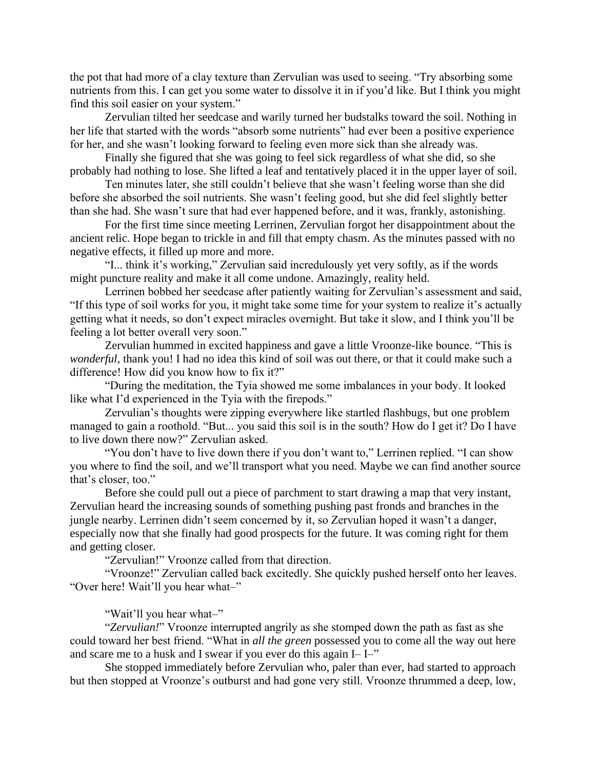the pot that had more of a clay texture than Zervulian was used to seeing. "Try absorbing some nutrients from this. I can get you some water to dissolve it in if you'd like. But I think you might find this soil easier on your system."

Zervulian tilted her seedcase and warily turned her budstalks toward the soil. Nothing in her life that started with the words "absorb some nutrients" had ever been a positive experience for her, and she wasn't looking forward to feeling even more sick than she already was.

Finally she figured that she was going to feel sick regardless of what she did, so she probably had nothing to lose. She lifted a leaf and tentatively placed it in the upper layer of soil.

Ten minutes later, she still couldn't believe that she wasn't feeling worse than she did before she absorbed the soil nutrients. She wasn't feeling good, but she did feel slightly better than she had. She wasn't sure that had ever happened before, and it was, frankly, astonishing.

For the first time since meeting Lerrinen, Zervulian forgot her disappointment about the ancient relic. Hope began to trickle in and fill that empty chasm. As the minutes passed with no negative effects, it filled up more and more.

"I... think it's working," Zervulian said incredulously yet very softly, as if the words might puncture reality and make it all come undone. Amazingly, reality held.

Lerrinen bobbed her seedcase after patiently waiting for Zervulian's assessment and said, "If this type of soil works for you, it might take some time for your system to realize it's actually getting what it needs, so don't expect miracles overnight. But take it slow, and I think you'll be feeling a lot better overall very soon."

Zervulian hummed in excited happiness and gave a little Vroonze-like bounce. "This is *wonderful*, thank you! I had no idea this kind of soil was out there, or that it could make such a difference! How did you know how to fix it?"

"During the meditation, the Tyia showed me some imbalances in your body. It looked like what I'd experienced in the Tyia with the firepods."

Zervulian's thoughts were zipping everywhere like startled flashbugs, but one problem managed to gain a roothold. "But... you said this soil is in the south? How do I get it? Do I have to live down there now?" Zervulian asked.

"You don't have to live down there if you don't want to," Lerrinen replied. "I can show you where to find the soil, and we'll transport what you need. Maybe we can find another source that's closer, too."

Before she could pull out a piece of parchment to start drawing a map that very instant, Zervulian heard the increasing sounds of something pushing past fronds and branches in the jungle nearby. Lerrinen didn't seem concerned by it, so Zervulian hoped it wasn't a danger, especially now that she finally had good prospects for the future. It was coming right for them and getting closer.

"Zervulian!" Vroonze called from that direction.

"Vroonze!" Zervulian called back excitedly. She quickly pushed herself onto her leaves. "Over here! Wait'll you hear what–"

"Wait'll you hear what–"

"*Zervulian!*" Vroonze interrupted angrily as she stomped down the path as fast as she could toward her best friend. "What in *all the green* possessed you to come all the way out here and scare me to a husk and I swear if you ever do this again I– I–"

She stopped immediately before Zervulian who, paler than ever, had started to approach but then stopped at Vroonze's outburst and had gone very still. Vroonze thrummed a deep, low,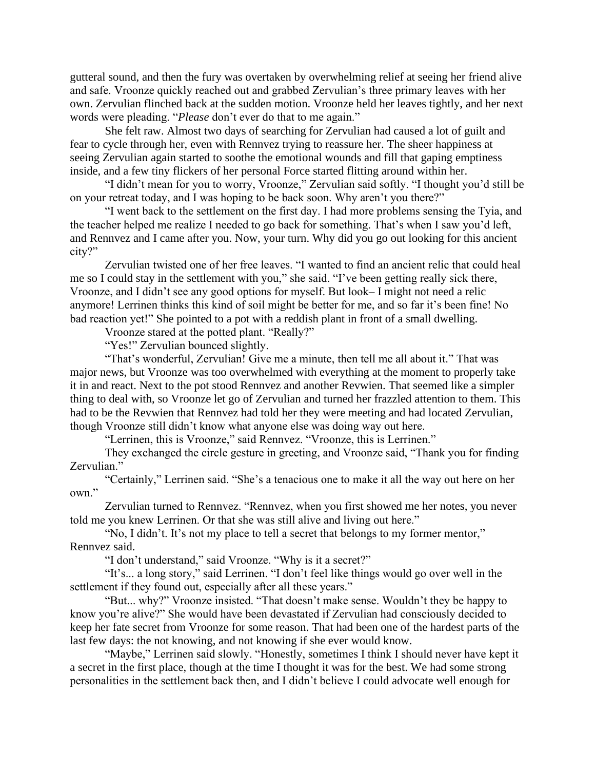gutteral sound, and then the fury was overtaken by overwhelming relief at seeing her friend alive and safe. Vroonze quickly reached out and grabbed Zervulian's three primary leaves with her own. Zervulian flinched back at the sudden motion. Vroonze held her leaves tightly, and her next words were pleading. "*Please* don't ever do that to me again."

She felt raw. Almost two days of searching for Zervulian had caused a lot of guilt and fear to cycle through her, even with Rennvez trying to reassure her. The sheer happiness at seeing Zervulian again started to soothe the emotional wounds and fill that gaping emptiness inside, and a few tiny flickers of her personal Force started flitting around within her.

"I didn't mean for you to worry, Vroonze," Zervulian said softly. "I thought you'd still be on your retreat today, and I was hoping to be back soon. Why aren't you there?"

"I went back to the settlement on the first day. I had more problems sensing the Tyia, and the teacher helped me realize I needed to go back for something. That's when I saw you'd left, and Rennvez and I came after you. Now, your turn. Why did you go out looking for this ancient city?"

Zervulian twisted one of her free leaves. "I wanted to find an ancient relic that could heal me so I could stay in the settlement with you," she said. "I've been getting really sick there, Vroonze, and I didn't see any good options for myself. But look– I might not need a relic anymore! Lerrinen thinks this kind of soil might be better for me, and so far it's been fine! No bad reaction yet!" She pointed to a pot with a reddish plant in front of a small dwelling.

Vroonze stared at the potted plant. "Really?"

"Yes!" Zervulian bounced slightly.

"That's wonderful, Zervulian! Give me a minute, then tell me all about it." That was major news, but Vroonze was too overwhelmed with everything at the moment to properly take it in and react. Next to the pot stood Rennvez and another Revwien. That seemed like a simpler thing to deal with, so Vroonze let go of Zervulian and turned her frazzled attention to them. This had to be the Revwien that Rennvez had told her they were meeting and had located Zervulian, though Vroonze still didn't know what anyone else was doing way out here.

"Lerrinen, this is Vroonze," said Rennvez. "Vroonze, this is Lerrinen."

They exchanged the circle gesture in greeting, and Vroonze said, "Thank you for finding Zervulian."

"Certainly," Lerrinen said. "She's a tenacious one to make it all the way out here on her own."

Zervulian turned to Rennvez. "Rennvez, when you first showed me her notes, you never told me you knew Lerrinen. Or that she was still alive and living out here."

"No, I didn't. It's not my place to tell a secret that belongs to my former mentor," Rennvez said.

"I don't understand," said Vroonze. "Why is it a secret?"

"It's... a long story," said Lerrinen. "I don't feel like things would go over well in the settlement if they found out, especially after all these years."

"But... why?" Vroonze insisted. "That doesn't make sense. Wouldn't they be happy to know you're alive?" She would have been devastated if Zervulian had consciously decided to keep her fate secret from Vroonze for some reason. That had been one of the hardest parts of the last few days: the not knowing, and not knowing if she ever would know.

"Maybe," Lerrinen said slowly. "Honestly, sometimes I think I should never have kept it a secret in the first place, though at the time I thought it was for the best. We had some strong personalities in the settlement back then, and I didn't believe I could advocate well enough for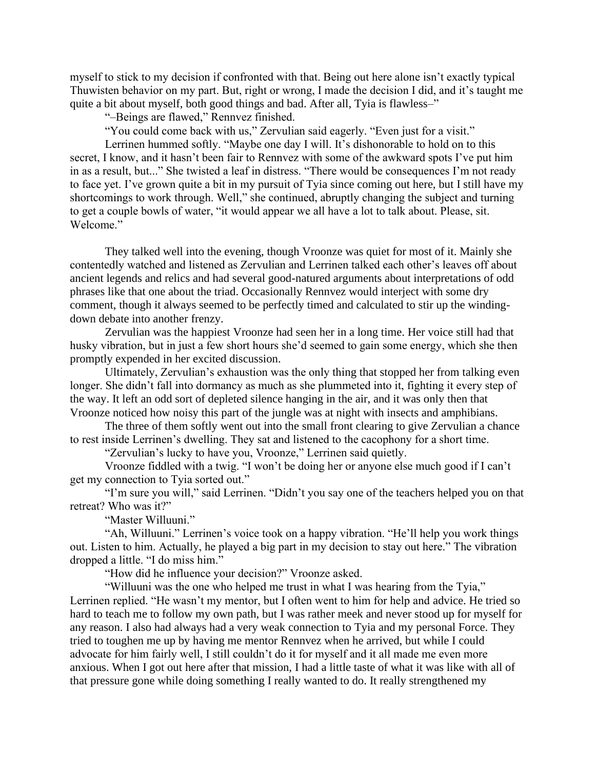myself to stick to my decision if confronted with that. Being out here alone isn't exactly typical Thuwisten behavior on my part. But, right or wrong, I made the decision I did, and it's taught me quite a bit about myself, both good things and bad. After all, Tyia is flawless–"

"–Beings are flawed," Rennvez finished.

"You could come back with us," Zervulian said eagerly. "Even just for a visit."

Lerrinen hummed softly. "Maybe one day I will. It's dishonorable to hold on to this secret, I know, and it hasn't been fair to Rennvez with some of the awkward spots I've put him in as a result, but..." She twisted a leaf in distress. "There would be consequences I'm not ready to face yet. I've grown quite a bit in my pursuit of Tyia since coming out here, but I still have my shortcomings to work through. Well," she continued, abruptly changing the subject and turning to get a couple bowls of water, "it would appear we all have a lot to talk about. Please, sit. Welcome."

They talked well into the evening, though Vroonze was quiet for most of it. Mainly she contentedly watched and listened as Zervulian and Lerrinen talked each other's leaves off about ancient legends and relics and had several good-natured arguments about interpretations of odd phrases like that one about the triad. Occasionally Rennvez would interject with some dry comment, though it always seemed to be perfectly timed and calculated to stir up the windingdown debate into another frenzy.

Zervulian was the happiest Vroonze had seen her in a long time. Her voice still had that husky vibration, but in just a few short hours she'd seemed to gain some energy, which she then promptly expended in her excited discussion.

Ultimately, Zervulian's exhaustion was the only thing that stopped her from talking even longer. She didn't fall into dormancy as much as she plummeted into it, fighting it every step of the way. It left an odd sort of depleted silence hanging in the air, and it was only then that Vroonze noticed how noisy this part of the jungle was at night with insects and amphibians.

The three of them softly went out into the small front clearing to give Zervulian a chance to rest inside Lerrinen's dwelling. They sat and listened to the cacophony for a short time.

"Zervulian's lucky to have you, Vroonze," Lerrinen said quietly.

Vroonze fiddled with a twig. "I won't be doing her or anyone else much good if I can't get my connection to Tyia sorted out."

"I'm sure you will," said Lerrinen. "Didn't you say one of the teachers helped you on that retreat? Who was it?"

"Master Willuuni."

"Ah, Willuuni." Lerrinen's voice took on a happy vibration. "He'll help you work things out. Listen to him. Actually, he played a big part in my decision to stay out here." The vibration dropped a little. "I do miss him."

"How did he influence your decision?" Vroonze asked.

"Willuuni was the one who helped me trust in what I was hearing from the Tyia,"

Lerrinen replied. "He wasn't my mentor, but I often went to him for help and advice. He tried so hard to teach me to follow my own path, but I was rather meek and never stood up for myself for any reason. I also had always had a very weak connection to Tyia and my personal Force. They tried to toughen me up by having me mentor Rennvez when he arrived, but while I could advocate for him fairly well, I still couldn't do it for myself and it all made me even more anxious. When I got out here after that mission, I had a little taste of what it was like with all of that pressure gone while doing something I really wanted to do. It really strengthened my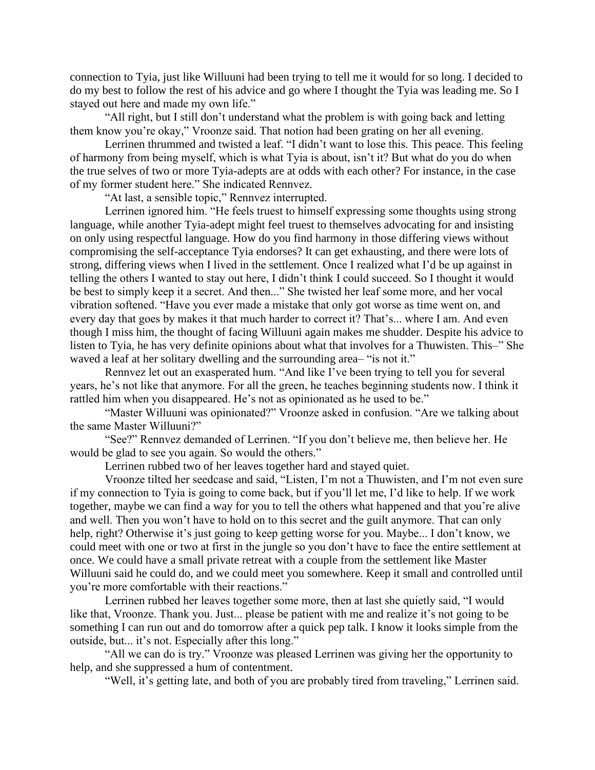connection to Tyia, just like Willuuni had been trying to tell me it would for so long. I decided to do my best to follow the rest of his advice and go where I thought the Tyia was leading me. So I stayed out here and made my own life."

"All right, but I still don't understand what the problem is with going back and letting them know you're okay," Vroonze said. That notion had been grating on her all evening.

Lerrinen thrummed and twisted a leaf. "I didn't want to lose this. This peace. This feeling of harmony from being myself, which is what Tyia is about, isn't it? But what do you do when the true selves of two or more Tyia-adepts are at odds with each other? For instance, in the case of my former student here." She indicated Rennvez.

"At last, a sensible topic," Rennvez interrupted.

Lerrinen ignored him. "He feels truest to himself expressing some thoughts using strong language, while another Tyia-adept might feel truest to themselves advocating for and insisting on only using respectful language. How do you find harmony in those differing views without compromising the self-acceptance Tyia endorses? It can get exhausting, and there were lots of strong, differing views when I lived in the settlement. Once I realized what I'd be up against in telling the others I wanted to stay out here, I didn't think I could succeed. So I thought it would be best to simply keep it a secret. And then..." She twisted her leaf some more, and her vocal vibration softened. "Have you ever made a mistake that only got worse as time went on, and every day that goes by makes it that much harder to correct it? That's... where I am. And even though I miss him, the thought of facing Willuuni again makes me shudder. Despite his advice to listen to Tyia, he has very definite opinions about what that involves for a Thuwisten. This–" She waved a leaf at her solitary dwelling and the surrounding area– "is not it."

Rennvez let out an exasperated hum. "And like I've been trying to tell you for several years, he's not like that anymore. For all the green, he teaches beginning students now. I think it rattled him when you disappeared. He's not as opinionated as he used to be."

"Master Willuuni was opinionated?" Vroonze asked in confusion. "Are we talking about the same Master Willuuni?"

"See?" Rennvez demanded of Lerrinen. "If you don't believe me, then believe her. He would be glad to see you again. So would the others."

Lerrinen rubbed two of her leaves together hard and stayed quiet.

Vroonze tilted her seedcase and said, "Listen, I'm not a Thuwisten, and I'm not even sure if my connection to Tyia is going to come back, but if you'll let me, I'd like to help. If we work together, maybe we can find a way for you to tell the others what happened and that you're alive and well. Then you won't have to hold on to this secret and the guilt anymore. That can only help, right? Otherwise it's just going to keep getting worse for you. Maybe... I don't know, we could meet with one or two at first in the jungle so you don't have to face the entire settlement at once. We could have a small private retreat with a couple from the settlement like Master Willuuni said he could do, and we could meet you somewhere. Keep it small and controlled until you're more comfortable with their reactions."

Lerrinen rubbed her leaves together some more, then at last she quietly said, "I would like that, Vroonze. Thank you. Just... please be patient with me and realize it's not going to be something I can run out and do tomorrow after a quick pep talk. I know it looks simple from the outside, but... it's not. Especially after this long."

"All we can do is try." Vroonze was pleased Lerrinen was giving her the opportunity to help, and she suppressed a hum of contentment.

"Well, it's getting late, and both of you are probably tired from traveling," Lerrinen said.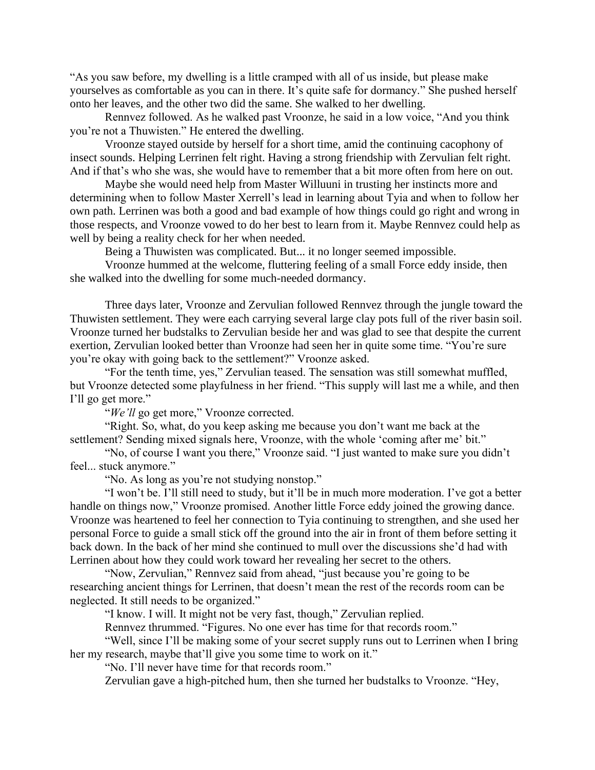"As you saw before, my dwelling is a little cramped with all of us inside, but please make yourselves as comfortable as you can in there. It's quite safe for dormancy." She pushed herself onto her leaves, and the other two did the same. She walked to her dwelling.

Rennvez followed. As he walked past Vroonze, he said in a low voice, "And you think you're not a Thuwisten." He entered the dwelling.

Vroonze stayed outside by herself for a short time, amid the continuing cacophony of insect sounds. Helping Lerrinen felt right. Having a strong friendship with Zervulian felt right. And if that's who she was, she would have to remember that a bit more often from here on out.

Maybe she would need help from Master Willuuni in trusting her instincts more and determining when to follow Master Xerrell's lead in learning about Tyia and when to follow her own path. Lerrinen was both a good and bad example of how things could go right and wrong in those respects, and Vroonze vowed to do her best to learn from it. Maybe Rennvez could help as well by being a reality check for her when needed.

Being a Thuwisten was complicated. But... it no longer seemed impossible.

Vroonze hummed at the welcome, fluttering feeling of a small Force eddy inside, then she walked into the dwelling for some much-needed dormancy.

Three days later, Vroonze and Zervulian followed Rennvez through the jungle toward the Thuwisten settlement. They were each carrying several large clay pots full of the river basin soil. Vroonze turned her budstalks to Zervulian beside her and was glad to see that despite the current exertion, Zervulian looked better than Vroonze had seen her in quite some time. "You're sure you're okay with going back to the settlement?" Vroonze asked.

"For the tenth time, yes," Zervulian teased. The sensation was still somewhat muffled, but Vroonze detected some playfulness in her friend. "This supply will last me a while, and then I'll go get more."

"*We'll* go get more," Vroonze corrected.

"Right. So, what, do you keep asking me because you don't want me back at the settlement? Sending mixed signals here, Vroonze, with the whole 'coming after me' bit."

"No, of course I want you there," Vroonze said. "I just wanted to make sure you didn't feel... stuck anymore."

"No. As long as you're not studying nonstop."

"I won't be. I'll still need to study, but it'll be in much more moderation. I've got a better handle on things now," Vroonze promised. Another little Force eddy joined the growing dance. Vroonze was heartened to feel her connection to Tyia continuing to strengthen, and she used her personal Force to guide a small stick off the ground into the air in front of them before setting it back down. In the back of her mind she continued to mull over the discussions she'd had with Lerrinen about how they could work toward her revealing her secret to the others.

"Now, Zervulian," Rennvez said from ahead, "just because you're going to be researching ancient things for Lerrinen, that doesn't mean the rest of the records room can be neglected. It still needs to be organized."

"I know. I will. It might not be very fast, though," Zervulian replied.

Rennvez thrummed. "Figures. No one ever has time for that records room."

"Well, since I'll be making some of your secret supply runs out to Lerrinen when I bring her my research, maybe that'll give you some time to work on it."

"No. I'll never have time for that records room."

Zervulian gave a high-pitched hum, then she turned her budstalks to Vroonze. "Hey,